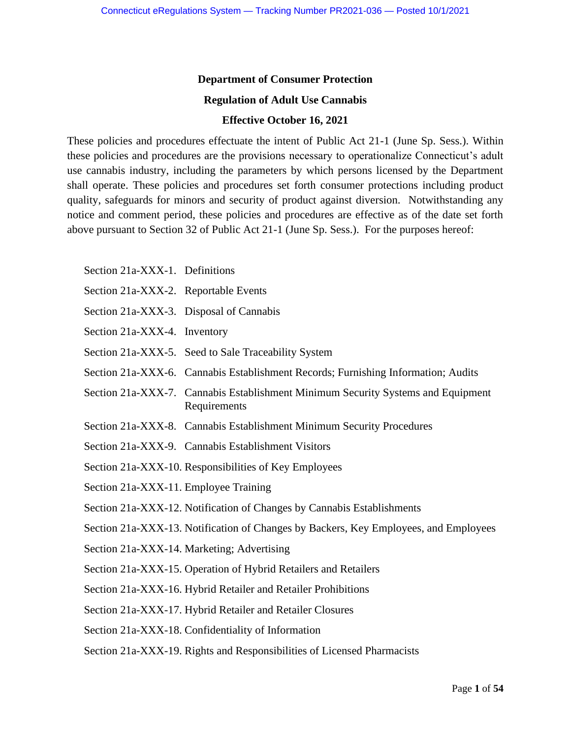### **Department of Consumer Protection**

#### **Regulation of Adult Use Cannabis**

#### **Effective October 16, 2021**

These policies and procedures effectuate the intent of Public Act 21-1 (June Sp. Sess.). Within these policies and procedures are the provisions necessary to operationalize Connecticut's adult use cannabis industry, including the parameters by which persons licensed by the Department shall operate. These policies and procedures set forth consumer protections including product quality, safeguards for minors and security of product against diversion. Notwithstanding any notice and comment period, these policies and procedures are effective as of the date set forth above pursuant to Section 32 of Public Act 21-1 (June Sp. Sess.). For the purposes hereof:

- Section 21a-XXX-1. Definitions
- Section 21a-XXX-2. Reportable Events
- Section 21a-XXX-3. Disposal of Cannabis
- Section 21a-XXX-4. Inventory
- Section 21a-XXX-5. Seed to Sale Traceability System
- Section 21a-XXX-6. Cannabis Establishment Records; Furnishing Information; Audits
- Section 21a-XXX-7. Cannabis Establishment Minimum Security Systems and Equipment Requirements
- Section 21a-XXX-8. Cannabis Establishment Minimum Security Procedures
- Section 21a-XXX-9. Cannabis Establishment Visitors
- Section 21a-XXX-10. Responsibilities of Key Employees
- Section 21a-XXX-11. Employee Training
- Section 21a-XXX-12. Notification of Changes by Cannabis Establishments

Section 21a-XXX-13. Notification of Changes by Backers, Key Employees, and Employees

- Section 21a-XXX-14. Marketing; Advertising
- Section 21a-XXX-15. Operation of Hybrid Retailers and Retailers

Section 21a-XXX-16. Hybrid Retailer and Retailer Prohibitions

Section 21a-XXX-17. Hybrid Retailer and Retailer Closures

Section 21a-XXX-18. Confidentiality of Information

Section 21a-XXX-19. Rights and Responsibilities of Licensed Pharmacists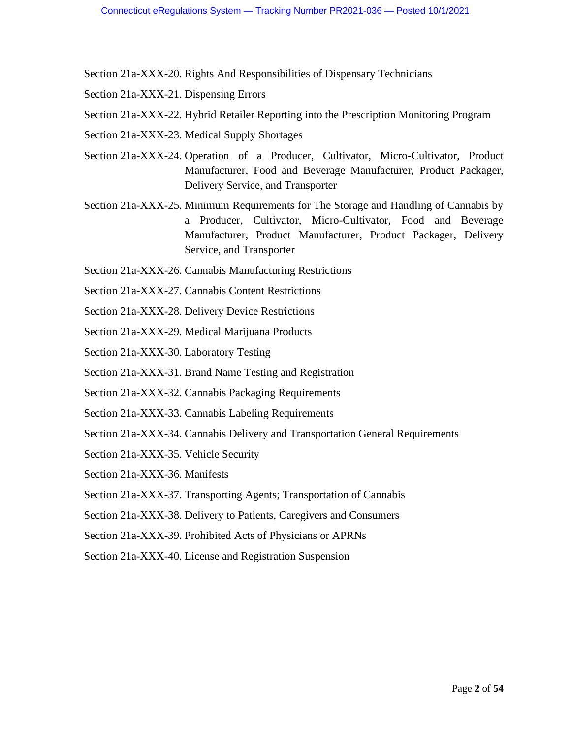Section 21a-XXX-20. Rights And Responsibilities of Dispensary Technicians

- Section 21a-XXX-21. Dispensing Errors
- Section 21a-XXX-22. Hybrid Retailer Reporting into the Prescription Monitoring Program
- Section 21a-XXX-23. Medical Supply Shortages
- Section 21a-XXX-24. Operation of a Producer, Cultivator, Micro-Cultivator, Product Manufacturer, Food and Beverage Manufacturer, Product Packager, Delivery Service, and Transporter
- Section 21a-XXX-25. Minimum Requirements for The Storage and Handling of Cannabis by a Producer, Cultivator, Micro-Cultivator, Food and Beverage Manufacturer, Product Manufacturer, Product Packager, Delivery Service, and Transporter
- Section 21a-XXX-26. Cannabis Manufacturing Restrictions
- Section 21a-XXX-27. Cannabis Content Restrictions
- Section 21a-XXX-28. Delivery Device Restrictions
- Section 21a-XXX-29. Medical Marijuana Products
- Section 21a-XXX-30. Laboratory Testing
- Section 21a-XXX-31. Brand Name Testing and Registration
- Section 21a-XXX-32. Cannabis Packaging Requirements
- Section 21a-XXX-33. Cannabis Labeling Requirements
- Section 21a-XXX-34. Cannabis Delivery and Transportation General Requirements
- Section 21a-XXX-35. Vehicle Security
- Section 21a-XXX-36. Manifests
- Section 21a-XXX-37. Transporting Agents; Transportation of Cannabis
- Section 21a-XXX-38. Delivery to Patients, Caregivers and Consumers
- Section 21a-XXX-39. Prohibited Acts of Physicians or APRNs
- Section 21a-XXX-40. License and Registration Suspension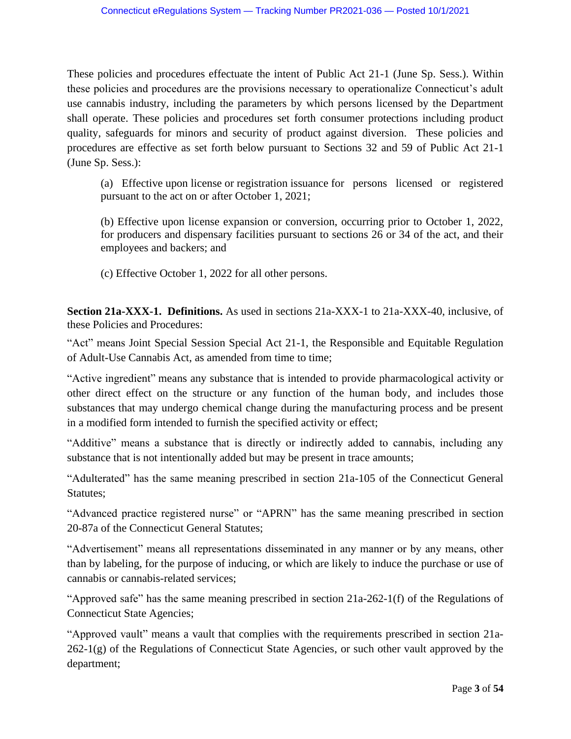These policies and procedures effectuate the intent of Public Act 21-1 (June Sp. Sess.). Within these policies and procedures are the provisions necessary to operationalize Connecticut's adult use cannabis industry, including the parameters by which persons licensed by the Department shall operate. These policies and procedures set forth consumer protections including product quality, safeguards for minors and security of product against diversion. These policies and procedures are effective as set forth below pursuant to Sections 32 and 59 of Public Act 21-1 (June Sp. Sess.):

(a) Effective upon license or registration issuance for persons licensed or registered pursuant to the act on or after October 1, 2021;

(b) Effective upon license expansion or conversion, occurring prior to October 1, 2022, for producers and dispensary facilities pursuant to sections 26 or 34 of the act, and their employees and backers; and

(c) Effective October 1, 2022 for all other persons.

**Section 21a-XXX-1. Definitions.** As used in sections 21a-XXX-1 to 21a-XXX-40, inclusive, of these Policies and Procedures:

"Act" means Joint Special Session Special Act 21-1, the Responsible and Equitable Regulation of Adult-Use Cannabis Act, as amended from time to time;

"Active ingredient" means any substance that is intended to provide pharmacological activity or other direct effect on the structure or any function of the human body, and includes those substances that may undergo chemical change during the manufacturing process and be present in a modified form intended to furnish the specified activity or effect;

"Additive" means a substance that is directly or indirectly added to cannabis, including any substance that is not intentionally added but may be present in trace amounts;

"Adulterated" has the same meaning prescribed in section 21a-105 of the Connecticut General Statutes;

"Advanced practice registered nurse" or "APRN" has the same meaning prescribed in section 20-87a of the Connecticut General Statutes;

"Advertisement" means all representations disseminated in any manner or by any means, other than by labeling, for the purpose of inducing, or which are likely to induce the purchase or use of cannabis or cannabis-related services;

"Approved safe" has the same meaning prescribed in section 21a-262-1(f) of the Regulations of Connecticut State Agencies;

"Approved vault" means a vault that complies with the requirements prescribed in section 21a- $262-1(g)$  of the Regulations of Connecticut State Agencies, or such other vault approved by the department;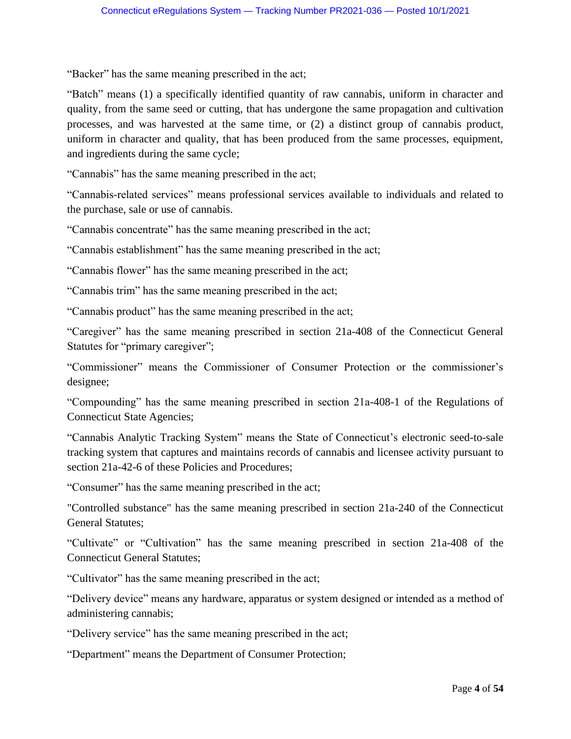"Backer" has the same meaning prescribed in the act;

"Batch" means (1) a specifically identified quantity of raw cannabis, uniform in character and quality, from the same seed or cutting, that has undergone the same propagation and cultivation processes, and was harvested at the same time, or (2) a distinct group of cannabis product, uniform in character and quality, that has been produced from the same processes, equipment, and ingredients during the same cycle;

"Cannabis" has the same meaning prescribed in the act;

"Cannabis-related services" means professional services available to individuals and related to the purchase, sale or use of cannabis.

"Cannabis concentrate" has the same meaning prescribed in the act;

"Cannabis establishment" has the same meaning prescribed in the act;

"Cannabis flower" has the same meaning prescribed in the act;

"Cannabis trim" has the same meaning prescribed in the act;

"Cannabis product" has the same meaning prescribed in the act;

"Caregiver" has the same meaning prescribed in section 21a-408 of the Connecticut General Statutes for "primary caregiver";

"Commissioner" means the Commissioner of Consumer Protection or the commissioner's designee;

"Compounding" has the same meaning prescribed in section 21a-408-1 of the Regulations of Connecticut State Agencies;

"Cannabis Analytic Tracking System" means the State of Connecticut's electronic seed-to-sale tracking system that captures and maintains records of cannabis and licensee activity pursuant to section 21a-42-6 of these Policies and Procedures;

"Consumer" has the same meaning prescribed in the act;

"Controlled substance" has the same meaning prescribed in section 21a-240 of the Connecticut General Statutes;

"Cultivate" or "Cultivation" has the same meaning prescribed in section 21a-408 of the Connecticut General Statutes;

"Cultivator" has the same meaning prescribed in the act;

"Delivery device" means any hardware, apparatus or system designed or intended as a method of administering cannabis;

"Delivery service" has the same meaning prescribed in the act;

"Department" means the Department of Consumer Protection;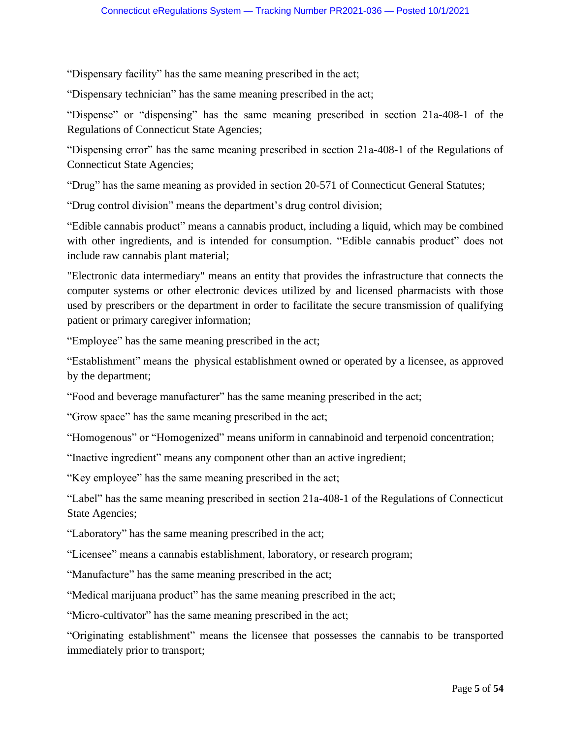"Dispensary facility" has the same meaning prescribed in the act;

"Dispensary technician" has the same meaning prescribed in the act;

"Dispense" or "dispensing" has the same meaning prescribed in section 21a-408-1 of the Regulations of Connecticut State Agencies;

"Dispensing error" has the same meaning prescribed in section 21a-408-1 of the Regulations of Connecticut State Agencies;

"Drug" has the same meaning as provided in section 20-571 of Connecticut General Statutes;

"Drug control division" means the department's drug control division;

"Edible cannabis product" means a cannabis product, including a liquid, which may be combined with other ingredients, and is intended for consumption. "Edible cannabis product" does not include raw cannabis plant material;

"Electronic data intermediary" means an entity that provides the infrastructure that connects the computer systems or other electronic devices utilized by and licensed pharmacists with those used by prescribers or the department in order to facilitate the secure transmission of qualifying patient or primary caregiver information;

"Employee" has the same meaning prescribed in the act;

"Establishment" means the physical establishment owned or operated by a licensee, as approved by the department;

"Food and beverage manufacturer" has the same meaning prescribed in the act;

"Grow space" has the same meaning prescribed in the act;

"Homogenous" or "Homogenized" means uniform in cannabinoid and terpenoid concentration;

"Inactive ingredient" means any component other than an active ingredient;

"Key employee" has the same meaning prescribed in the act;

"Label" has the same meaning prescribed in section 21a-408-1 of the Regulations of Connecticut State Agencies;

"Laboratory" has the same meaning prescribed in the act;

"Licensee" means a cannabis establishment, laboratory, or research program;

"Manufacture" has the same meaning prescribed in the act;

"Medical marijuana product" has the same meaning prescribed in the act;

"Micro-cultivator" has the same meaning prescribed in the act;

"Originating establishment" means the licensee that possesses the cannabis to be transported immediately prior to transport;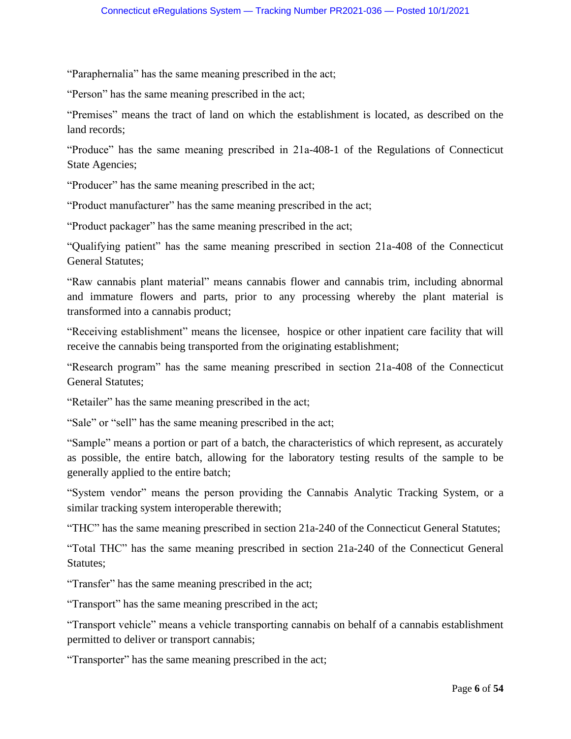"Paraphernalia" has the same meaning prescribed in the act;

"Person" has the same meaning prescribed in the act;

"Premises" means the tract of land on which the establishment is located, as described on the land records;

"Produce" has the same meaning prescribed in 21a-408-1 of the Regulations of Connecticut State Agencies;

"Producer" has the same meaning prescribed in the act;

"Product manufacturer" has the same meaning prescribed in the act;

"Product packager" has the same meaning prescribed in the act;

"Qualifying patient" has the same meaning prescribed in section 21a-408 of the Connecticut General Statutes;

"Raw cannabis plant material" means cannabis flower and cannabis trim, including abnormal and immature flowers and parts, prior to any processing whereby the plant material is transformed into a cannabis product;

"Receiving establishment" means the licensee, hospice or other inpatient care facility that will receive the cannabis being transported from the originating establishment;

"Research program" has the same meaning prescribed in section 21a-408 of the Connecticut General Statutes;

"Retailer" has the same meaning prescribed in the act;

"Sale" or "sell" has the same meaning prescribed in the act;

"Sample" means a portion or part of a batch, the characteristics of which represent, as accurately as possible, the entire batch, allowing for the laboratory testing results of the sample to be generally applied to the entire batch;

"System vendor" means the person providing the Cannabis Analytic Tracking System, or a similar tracking system interoperable therewith;

"THC" has the same meaning prescribed in section 21a-240 of the Connecticut General Statutes;

"Total THC" has the same meaning prescribed in section 21a-240 of the Connecticut General Statutes;

"Transfer" has the same meaning prescribed in the act;

"Transport" has the same meaning prescribed in the act;

"Transport vehicle" means a vehicle transporting cannabis on behalf of a cannabis establishment permitted to deliver or transport cannabis;

"Transporter" has the same meaning prescribed in the act;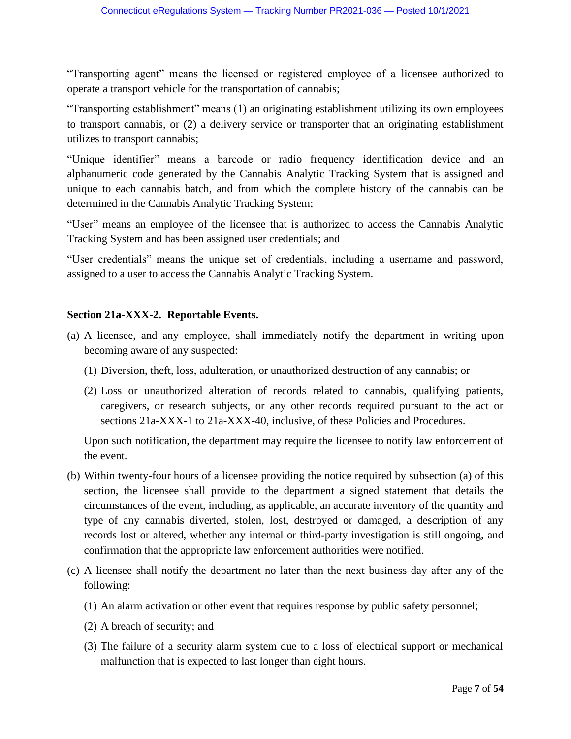"Transporting agent" means the licensed or registered employee of a licensee authorized to operate a transport vehicle for the transportation of cannabis;

"Transporting establishment" means (1) an originating establishment utilizing its own employees to transport cannabis, or (2) a delivery service or transporter that an originating establishment utilizes to transport cannabis;

"Unique identifier" means a barcode or radio frequency identification device and an alphanumeric code generated by the Cannabis Analytic Tracking System that is assigned and unique to each cannabis batch, and from which the complete history of the cannabis can be determined in the Cannabis Analytic Tracking System;

"User" means an employee of the licensee that is authorized to access the Cannabis Analytic Tracking System and has been assigned user credentials; and

"User credentials" means the unique set of credentials, including a username and password, assigned to a user to access the Cannabis Analytic Tracking System.

## **Section 21a-XXX-2. Reportable Events.**

- (a) A licensee, and any employee, shall immediately notify the department in writing upon becoming aware of any suspected:
	- (1) Diversion, theft, loss, adulteration, or unauthorized destruction of any cannabis; or
	- (2) Loss or unauthorized alteration of records related to cannabis, qualifying patients, caregivers, or research subjects, or any other records required pursuant to the act or sections 21a-XXX-1 to 21a-XXX-40, inclusive, of these Policies and Procedures.

Upon such notification, the department may require the licensee to notify law enforcement of the event.

- (b) Within twenty-four hours of a licensee providing the notice required by subsection (a) of this section, the licensee shall provide to the department a signed statement that details the circumstances of the event, including, as applicable, an accurate inventory of the quantity and type of any cannabis diverted, stolen, lost, destroyed or damaged, a description of any records lost or altered, whether any internal or third-party investigation is still ongoing, and confirmation that the appropriate law enforcement authorities were notified.
- (c) A licensee shall notify the department no later than the next business day after any of the following:
	- (1) An alarm activation or other event that requires response by public safety personnel;
	- (2) A breach of security; and
	- (3) The failure of a security alarm system due to a loss of electrical support or mechanical malfunction that is expected to last longer than eight hours.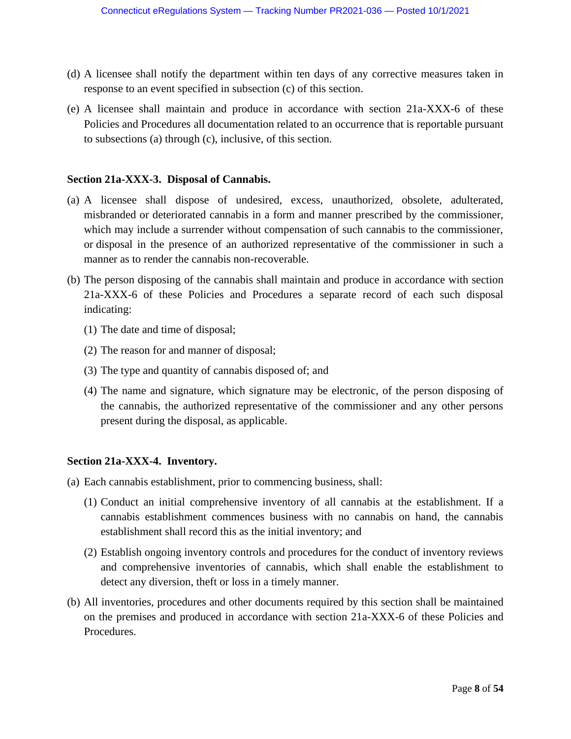- (d) A licensee shall notify the department within ten days of any corrective measures taken in response to an event specified in subsection (c) of this section.
- (e) A licensee shall maintain and produce in accordance with section 21a-XXX-6 of these Policies and Procedures all documentation related to an occurrence that is reportable pursuant to subsections (a) through (c), inclusive, of this section.

### **Section 21a-XXX-3. Disposal of Cannabis.**

- (a) A licensee shall dispose of undesired, excess, unauthorized, obsolete, adulterated, misbranded or deteriorated cannabis in a form and manner prescribed by the commissioner, which may include a surrender without compensation of such cannabis to the commissioner, or disposal in the presence of an authorized representative of the commissioner in such a manner as to render the cannabis non-recoverable.
- (b) The person disposing of the cannabis shall maintain and produce in accordance with section 21a-XXX-6 of these Policies and Procedures a separate record of each such disposal indicating:
	- (1) The date and time of disposal;
	- (2) The reason for and manner of disposal;
	- (3) The type and quantity of cannabis disposed of; and
	- (4) The name and signature, which signature may be electronic, of the person disposing of the cannabis, the authorized representative of the commissioner and any other persons present during the disposal, as applicable.

#### **Section 21a-XXX-4. Inventory.**

- (a) Each cannabis establishment, prior to commencing business, shall:
	- (1) Conduct an initial comprehensive inventory of all cannabis at the establishment. If a cannabis establishment commences business with no cannabis on hand, the cannabis establishment shall record this as the initial inventory; and
	- (2) Establish ongoing inventory controls and procedures for the conduct of inventory reviews and comprehensive inventories of cannabis, which shall enable the establishment to detect any diversion, theft or loss in a timely manner.
- (b) All inventories, procedures and other documents required by this section shall be maintained on the premises and produced in accordance with section 21a-XXX-6 of these Policies and Procedures.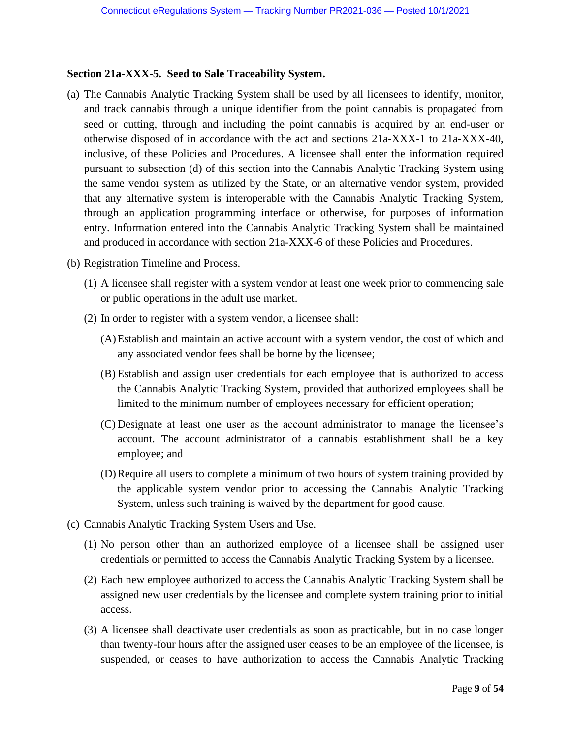## **Section 21a-XXX-5. Seed to Sale Traceability System.**

- (a) The Cannabis Analytic Tracking System shall be used by all licensees to identify, monitor, and track cannabis through a unique identifier from the point cannabis is propagated from seed or cutting, through and including the point cannabis is acquired by an end-user or otherwise disposed of in accordance with the act and sections 21a-XXX-1 to 21a-XXX-40, inclusive, of these Policies and Procedures. A licensee shall enter the information required pursuant to subsection (d) of this section into the Cannabis Analytic Tracking System using the same vendor system as utilized by the State, or an alternative vendor system, provided that any alternative system is interoperable with the Cannabis Analytic Tracking System, through an application programming interface or otherwise, for purposes of information entry. Information entered into the Cannabis Analytic Tracking System shall be maintained and produced in accordance with section 21a-XXX-6 of these Policies and Procedures.
- (b) Registration Timeline and Process.
	- (1) A licensee shall register with a system vendor at least one week prior to commencing sale or public operations in the adult use market.
	- (2) In order to register with a system vendor, a licensee shall:
		- (A)Establish and maintain an active account with a system vendor, the cost of which and any associated vendor fees shall be borne by the licensee;
		- (B) Establish and assign user credentials for each employee that is authorized to access the Cannabis Analytic Tracking System, provided that authorized employees shall be limited to the minimum number of employees necessary for efficient operation;
		- (C) Designate at least one user as the account administrator to manage the licensee's account. The account administrator of a cannabis establishment shall be a key employee; and
		- (D)Require all users to complete a minimum of two hours of system training provided by the applicable system vendor prior to accessing the Cannabis Analytic Tracking System, unless such training is waived by the department for good cause.
- (c) Cannabis Analytic Tracking System Users and Use.
	- (1) No person other than an authorized employee of a licensee shall be assigned user credentials or permitted to access the Cannabis Analytic Tracking System by a licensee.
	- (2) Each new employee authorized to access the Cannabis Analytic Tracking System shall be assigned new user credentials by the licensee and complete system training prior to initial access.
	- (3) A licensee shall deactivate user credentials as soon as practicable, but in no case longer than twenty-four hours after the assigned user ceases to be an employee of the licensee, is suspended, or ceases to have authorization to access the Cannabis Analytic Tracking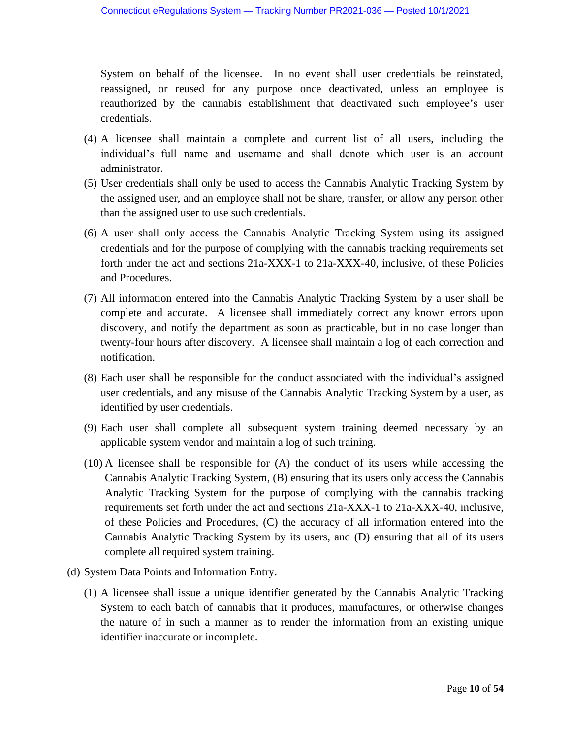System on behalf of the licensee. In no event shall user credentials be reinstated, reassigned, or reused for any purpose once deactivated, unless an employee is reauthorized by the cannabis establishment that deactivated such employee's user credentials.

- (4) A licensee shall maintain a complete and current list of all users, including the individual's full name and username and shall denote which user is an account administrator.
- (5) User credentials shall only be used to access the Cannabis Analytic Tracking System by the assigned user, and an employee shall not be share, transfer, or allow any person other than the assigned user to use such credentials.
- (6) A user shall only access the Cannabis Analytic Tracking System using its assigned credentials and for the purpose of complying with the cannabis tracking requirements set forth under the act and sections 21a-XXX-1 to 21a-XXX-40, inclusive, of these Policies and Procedures.
- (7) All information entered into the Cannabis Analytic Tracking System by a user shall be complete and accurate. A licensee shall immediately correct any known errors upon discovery, and notify the department as soon as practicable, but in no case longer than twenty-four hours after discovery. A licensee shall maintain a log of each correction and notification.
- (8) Each user shall be responsible for the conduct associated with the individual's assigned user credentials, and any misuse of the Cannabis Analytic Tracking System by a user, as identified by user credentials.
- (9) Each user shall complete all subsequent system training deemed necessary by an applicable system vendor and maintain a log of such training.
- (10) A licensee shall be responsible for (A) the conduct of its users while accessing the Cannabis Analytic Tracking System, (B) ensuring that its users only access the Cannabis Analytic Tracking System for the purpose of complying with the cannabis tracking requirements set forth under the act and sections 21a-XXX-1 to 21a-XXX-40, inclusive, of these Policies and Procedures, (C) the accuracy of all information entered into the Cannabis Analytic Tracking System by its users, and (D) ensuring that all of its users complete all required system training.
- (d) System Data Points and Information Entry.
	- (1) A licensee shall issue a unique identifier generated by the Cannabis Analytic Tracking System to each batch of cannabis that it produces, manufactures, or otherwise changes the nature of in such a manner as to render the information from an existing unique identifier inaccurate or incomplete.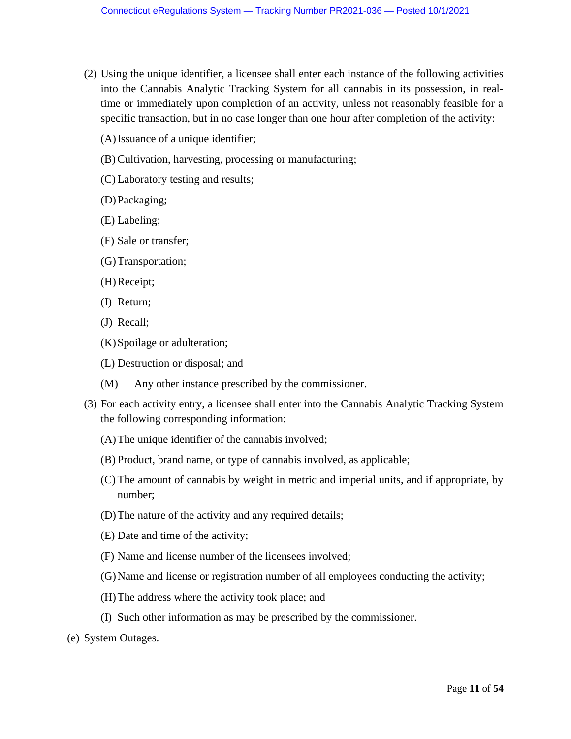- (2) Using the unique identifier, a licensee shall enter each instance of the following activities into the Cannabis Analytic Tracking System for all cannabis in its possession, in realtime or immediately upon completion of an activity, unless not reasonably feasible for a specific transaction, but in no case longer than one hour after completion of the activity:
	- (A)Issuance of a unique identifier;
	- (B) Cultivation, harvesting, processing or manufacturing;
	- (C) Laboratory testing and results;
	- (D)Packaging;
	- (E) Labeling;
	- (F) Sale or transfer;
	- (G)Transportation;
	- (H)Receipt;
	- (I) Return;
	- (J) Recall;
	- (K)Spoilage or adulteration;
	- (L) Destruction or disposal; and
	- (M) Any other instance prescribed by the commissioner.
- (3) For each activity entry, a licensee shall enter into the Cannabis Analytic Tracking System the following corresponding information:
	- (A)The unique identifier of the cannabis involved;
	- (B) Product, brand name, or type of cannabis involved, as applicable;
	- (C) The amount of cannabis by weight in metric and imperial units, and if appropriate, by number;
	- (D)The nature of the activity and any required details;
	- (E) Date and time of the activity;
	- (F) Name and license number of the licensees involved;
	- (G)Name and license or registration number of all employees conducting the activity;
	- (H)The address where the activity took place; and
	- (I) Such other information as may be prescribed by the commissioner.
- (e) System Outages.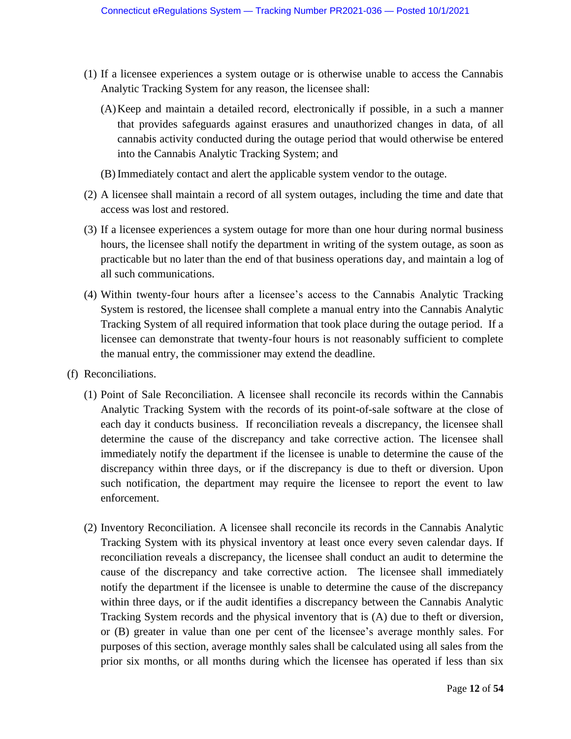- (1) If a licensee experiences a system outage or is otherwise unable to access the Cannabis Analytic Tracking System for any reason, the licensee shall:
	- (A)Keep and maintain a detailed record, electronically if possible, in a such a manner that provides safeguards against erasures and unauthorized changes in data, of all cannabis activity conducted during the outage period that would otherwise be entered into the Cannabis Analytic Tracking System; and
	- (B) Immediately contact and alert the applicable system vendor to the outage.
- (2) A licensee shall maintain a record of all system outages, including the time and date that access was lost and restored.
- (3) If a licensee experiences a system outage for more than one hour during normal business hours, the licensee shall notify the department in writing of the system outage, as soon as practicable but no later than the end of that business operations day, and maintain a log of all such communications.
- (4) Within twenty-four hours after a licensee's access to the Cannabis Analytic Tracking System is restored, the licensee shall complete a manual entry into the Cannabis Analytic Tracking System of all required information that took place during the outage period. If a licensee can demonstrate that twenty-four hours is not reasonably sufficient to complete the manual entry, the commissioner may extend the deadline.
- (f) Reconciliations.
	- (1) Point of Sale Reconciliation. A licensee shall reconcile its records within the Cannabis Analytic Tracking System with the records of its point-of-sale software at the close of each day it conducts business. If reconciliation reveals a discrepancy, the licensee shall determine the cause of the discrepancy and take corrective action. The licensee shall immediately notify the department if the licensee is unable to determine the cause of the discrepancy within three days, or if the discrepancy is due to theft or diversion. Upon such notification, the department may require the licensee to report the event to law enforcement.
	- (2) Inventory Reconciliation. A licensee shall reconcile its records in the Cannabis Analytic Tracking System with its physical inventory at least once every seven calendar days. If reconciliation reveals a discrepancy, the licensee shall conduct an audit to determine the cause of the discrepancy and take corrective action. The licensee shall immediately notify the department if the licensee is unable to determine the cause of the discrepancy within three days, or if the audit identifies a discrepancy between the Cannabis Analytic Tracking System records and the physical inventory that is (A) due to theft or diversion, or (B) greater in value than one per cent of the licensee's average monthly sales. For purposes of this section, average monthly sales shall be calculated using all sales from the prior six months, or all months during which the licensee has operated if less than six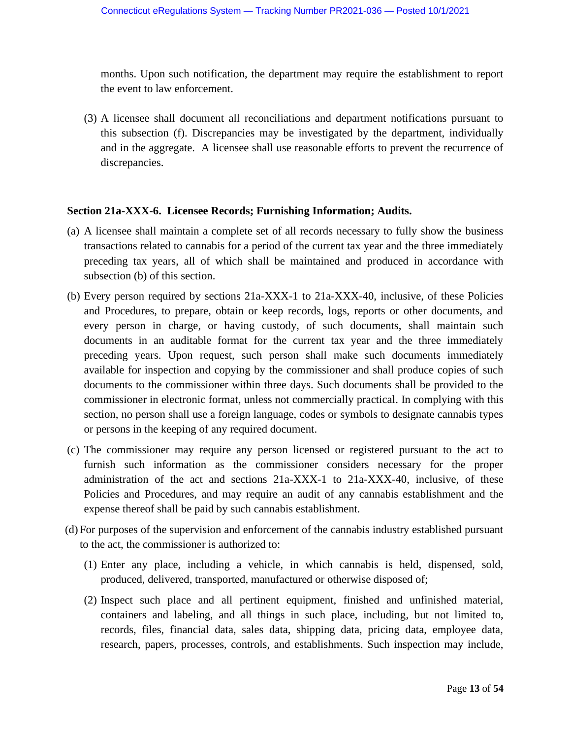months. Upon such notification, the department may require the establishment to report the event to law enforcement.

(3) A licensee shall document all reconciliations and department notifications pursuant to this subsection (f). Discrepancies may be investigated by the department, individually and in the aggregate. A licensee shall use reasonable efforts to prevent the recurrence of discrepancies.

#### **Section 21a-XXX-6. Licensee Records; Furnishing Information; Audits.**

- (a) A licensee shall maintain a complete set of all records necessary to fully show the business transactions related to cannabis for a period of the current tax year and the three immediately preceding tax years, all of which shall be maintained and produced in accordance with subsection (b) of this section.
- (b) Every person required by sections 21a-XXX-1 to 21a-XXX-40, inclusive, of these Policies and Procedures, to prepare, obtain or keep records, logs, reports or other documents, and every person in charge, or having custody, of such documents, shall maintain such documents in an auditable format for the current tax year and the three immediately preceding years. Upon request, such person shall make such documents immediately available for inspection and copying by the commissioner and shall produce copies of such documents to the commissioner within three days. Such documents shall be provided to the commissioner in electronic format, unless not commercially practical. In complying with this section, no person shall use a foreign language, codes or symbols to designate cannabis types or persons in the keeping of any required document.
- (c) The commissioner may require any person licensed or registered pursuant to the act to furnish such information as the commissioner considers necessary for the proper administration of the act and sections 21a-XXX-1 to 21a-XXX-40, inclusive, of these Policies and Procedures, and may require an audit of any cannabis establishment and the expense thereof shall be paid by such cannabis establishment.
- (d) For purposes of the supervision and enforcement of the cannabis industry established pursuant to the act, the commissioner is authorized to:
	- (1) Enter any place, including a vehicle, in which cannabis is held, dispensed, sold, produced, delivered, transported, manufactured or otherwise disposed of;
	- (2) Inspect such place and all pertinent equipment, finished and unfinished material, containers and labeling, and all things in such place, including, but not limited to, records, files, financial data, sales data, shipping data, pricing data, employee data, research, papers, processes, controls, and establishments. Such inspection may include,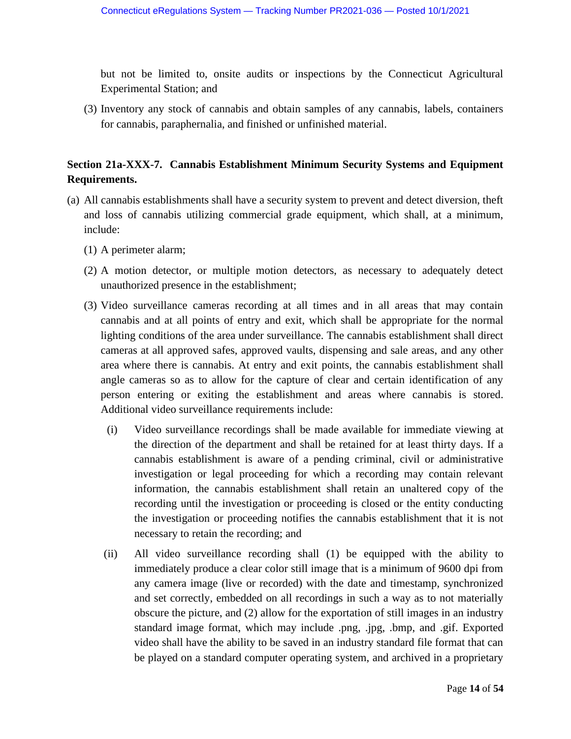but not be limited to, onsite audits or inspections by the Connecticut Agricultural Experimental Station; and

(3) Inventory any stock of cannabis and obtain samples of any cannabis, labels, containers for cannabis, paraphernalia, and finished or unfinished material.

# **Section 21a-XXX-7. Cannabis Establishment Minimum Security Systems and Equipment Requirements.**

- (a) All cannabis establishments shall have a security system to prevent and detect diversion, theft and loss of cannabis utilizing commercial grade equipment, which shall, at a minimum, include:
	- (1) A perimeter alarm;
	- (2) A motion detector, or multiple motion detectors, as necessary to adequately detect unauthorized presence in the establishment;
	- (3) Video surveillance cameras recording at all times and in all areas that may contain cannabis and at all points of entry and exit, which shall be appropriate for the normal lighting conditions of the area under surveillance. The cannabis establishment shall direct cameras at all approved safes, approved vaults, dispensing and sale areas, and any other area where there is cannabis. At entry and exit points, the cannabis establishment shall angle cameras so as to allow for the capture of clear and certain identification of any person entering or exiting the establishment and areas where cannabis is stored. Additional video surveillance requirements include:
		- (i) Video surveillance recordings shall be made available for immediate viewing at the direction of the department and shall be retained for at least thirty days. If a cannabis establishment is aware of a pending criminal, civil or administrative investigation or legal proceeding for which a recording may contain relevant information, the cannabis establishment shall retain an unaltered copy of the recording until the investigation or proceeding is closed or the entity conducting the investigation or proceeding notifies the cannabis establishment that it is not necessary to retain the recording; and
		- (ii) All video surveillance recording shall (1) be equipped with the ability to immediately produce a clear color still image that is a minimum of 9600 dpi from any camera image (live or recorded) with the date and timestamp, synchronized and set correctly, embedded on all recordings in such a way as to not materially obscure the picture, and (2) allow for the exportation of still images in an industry standard image format, which may include .png, .jpg, .bmp, and .gif. Exported video shall have the ability to be saved in an industry standard file format that can be played on a standard computer operating system, and archived in a proprietary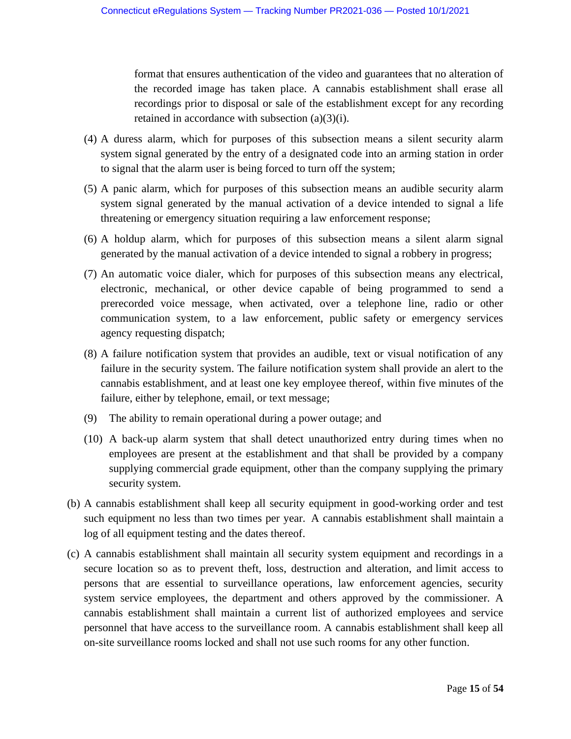format that ensures authentication of the video and guarantees that no alteration of the recorded image has taken place. A cannabis establishment shall erase all recordings prior to disposal or sale of the establishment except for any recording retained in accordance with subsection (a)(3)(i).

- (4) A duress alarm, which for purposes of this subsection means a silent security alarm system signal generated by the entry of a designated code into an arming station in order to signal that the alarm user is being forced to turn off the system;
- (5) A panic alarm, which for purposes of this subsection means an audible security alarm system signal generated by the manual activation of a device intended to signal a life threatening or emergency situation requiring a law enforcement response;
- (6) A holdup alarm, which for purposes of this subsection means a silent alarm signal generated by the manual activation of a device intended to signal a robbery in progress;
- (7) An automatic voice dialer, which for purposes of this subsection means any electrical, electronic, mechanical, or other device capable of being programmed to send a prerecorded voice message, when activated, over a telephone line, radio or other communication system, to a law enforcement, public safety or emergency services agency requesting dispatch;
- (8) A failure notification system that provides an audible, text or visual notification of any failure in the security system. The failure notification system shall provide an alert to the cannabis establishment, and at least one key employee thereof, within five minutes of the failure, either by telephone, email, or text message;
- (9) The ability to remain operational during a power outage; and
- (10) A back-up alarm system that shall detect unauthorized entry during times when no employees are present at the establishment and that shall be provided by a company supplying commercial grade equipment, other than the company supplying the primary security system.
- (b) A cannabis establishment shall keep all security equipment in good-working order and test such equipment no less than two times per year. A cannabis establishment shall maintain a log of all equipment testing and the dates thereof.
- (c) A cannabis establishment shall maintain all security system equipment and recordings in a secure location so as to prevent theft, loss, destruction and alteration, and limit access to persons that are essential to surveillance operations, law enforcement agencies, security system service employees, the department and others approved by the commissioner. A cannabis establishment shall maintain a current list of authorized employees and service personnel that have access to the surveillance room. A cannabis establishment shall keep all on-site surveillance rooms locked and shall not use such rooms for any other function.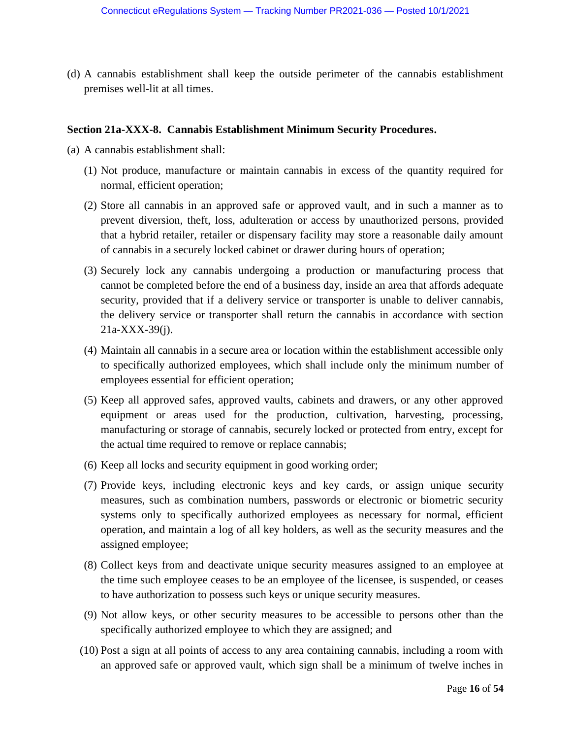(d) A cannabis establishment shall keep the outside perimeter of the cannabis establishment premises well-lit at all times.

#### **Section 21a-XXX-8. Cannabis Establishment Minimum Security Procedures.**

- (a) A cannabis establishment shall:
	- (1) Not produce, manufacture or maintain cannabis in excess of the quantity required for normal, efficient operation;
	- (2) Store all cannabis in an approved safe or approved vault, and in such a manner as to prevent diversion, theft, loss, adulteration or access by unauthorized persons, provided that a hybrid retailer, retailer or dispensary facility may store a reasonable daily amount of cannabis in a securely locked cabinet or drawer during hours of operation;
	- (3) Securely lock any cannabis undergoing a production or manufacturing process that cannot be completed before the end of a business day, inside an area that affords adequate security, provided that if a delivery service or transporter is unable to deliver cannabis, the delivery service or transporter shall return the cannabis in accordance with section 21a-XXX-39(j).
	- (4) Maintain all cannabis in a secure area or location within the establishment accessible only to specifically authorized employees, which shall include only the minimum number of employees essential for efficient operation;
	- (5) Keep all approved safes, approved vaults, cabinets and drawers, or any other approved equipment or areas used for the production, cultivation, harvesting, processing, manufacturing or storage of cannabis, securely locked or protected from entry, except for the actual time required to remove or replace cannabis;
	- (6) Keep all locks and security equipment in good working order;
	- (7) Provide keys, including electronic keys and key cards, or assign unique security measures, such as combination numbers, passwords or electronic or biometric security systems only to specifically authorized employees as necessary for normal, efficient operation, and maintain a log of all key holders, as well as the security measures and the assigned employee;
	- (8) Collect keys from and deactivate unique security measures assigned to an employee at the time such employee ceases to be an employee of the licensee, is suspended, or ceases to have authorization to possess such keys or unique security measures.
	- (9) Not allow keys, or other security measures to be accessible to persons other than the specifically authorized employee to which they are assigned; and
	- (10) Post a sign at all points of access to any area containing cannabis, including a room with an approved safe or approved vault, which sign shall be a minimum of twelve inches in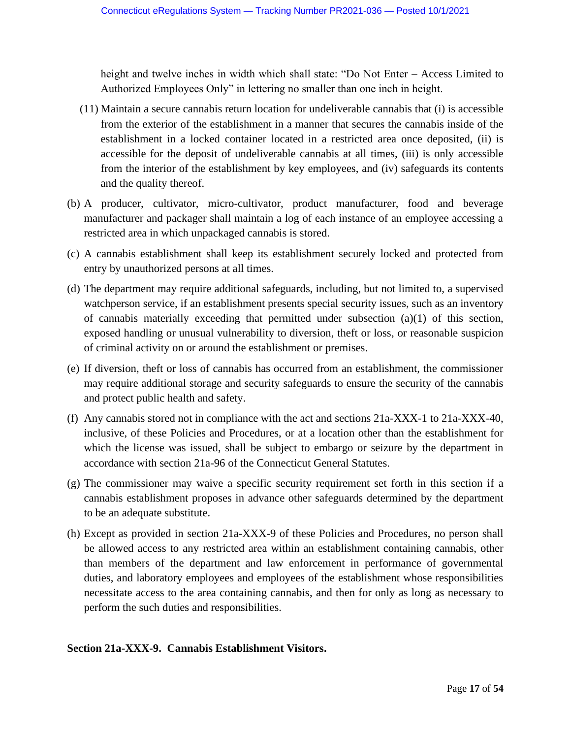height and twelve inches in width which shall state: "Do Not Enter – Access Limited to Authorized Employees Only" in lettering no smaller than one inch in height.

- (11) Maintain a secure cannabis return location for undeliverable cannabis that (i) is accessible from the exterior of the establishment in a manner that secures the cannabis inside of the establishment in a locked container located in a restricted area once deposited, (ii) is accessible for the deposit of undeliverable cannabis at all times, (iii) is only accessible from the interior of the establishment by key employees, and (iv) safeguards its contents and the quality thereof.
- (b) A producer, cultivator, micro-cultivator, product manufacturer, food and beverage manufacturer and packager shall maintain a log of each instance of an employee accessing a restricted area in which unpackaged cannabis is stored.
- (c) A cannabis establishment shall keep its establishment securely locked and protected from entry by unauthorized persons at all times.
- (d) The department may require additional safeguards, including, but not limited to, a supervised watchperson service, if an establishment presents special security issues, such as an inventory of cannabis materially exceeding that permitted under subsection (a)(1) of this section, exposed handling or unusual vulnerability to diversion, theft or loss, or reasonable suspicion of criminal activity on or around the establishment or premises.
- (e) If diversion, theft or loss of cannabis has occurred from an establishment, the commissioner may require additional storage and security safeguards to ensure the security of the cannabis and protect public health and safety.
- (f) Any cannabis stored not in compliance with the act and sections 21a-XXX-1 to 21a-XXX-40, inclusive, of these Policies and Procedures, or at a location other than the establishment for which the license was issued, shall be subject to embargo or seizure by the department in accordance with section 21a-96 of the Connecticut General Statutes.
- (g) The commissioner may waive a specific security requirement set forth in this section if a cannabis establishment proposes in advance other safeguards determined by the department to be an adequate substitute.
- (h) Except as provided in section 21a-XXX-9 of these Policies and Procedures, no person shall be allowed access to any restricted area within an establishment containing cannabis, other than members of the department and law enforcement in performance of governmental duties, and laboratory employees and employees of the establishment whose responsibilities necessitate access to the area containing cannabis, and then for only as long as necessary to perform the such duties and responsibilities.

#### **Section 21a-XXX-9. Cannabis Establishment Visitors.**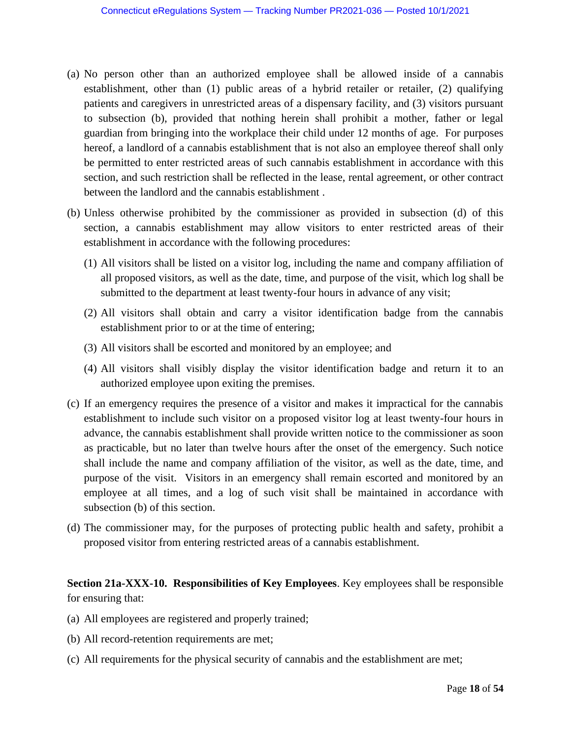- (a) No person other than an authorized employee shall be allowed inside of a cannabis establishment, other than (1) public areas of a hybrid retailer or retailer, (2) qualifying patients and caregivers in unrestricted areas of a dispensary facility, and (3) visitors pursuant to subsection (b), provided that nothing herein shall prohibit a mother, father or legal guardian from bringing into the workplace their child under 12 months of age. For purposes hereof, a landlord of a cannabis establishment that is not also an employee thereof shall only be permitted to enter restricted areas of such cannabis establishment in accordance with this section, and such restriction shall be reflected in the lease, rental agreement, or other contract between the landlord and the cannabis establishment .
- (b) Unless otherwise prohibited by the commissioner as provided in subsection (d) of this section, a cannabis establishment may allow visitors to enter restricted areas of their establishment in accordance with the following procedures:
	- (1) All visitors shall be listed on a visitor log, including the name and company affiliation of all proposed visitors, as well as the date, time, and purpose of the visit, which log shall be submitted to the department at least twenty-four hours in advance of any visit;
	- (2) All visitors shall obtain and carry a visitor identification badge from the cannabis establishment prior to or at the time of entering;
	- (3) All visitors shall be escorted and monitored by an employee; and
	- (4) All visitors shall visibly display the visitor identification badge and return it to an authorized employee upon exiting the premises.
- (c) If an emergency requires the presence of a visitor and makes it impractical for the cannabis establishment to include such visitor on a proposed visitor log at least twenty-four hours in advance, the cannabis establishment shall provide written notice to the commissioner as soon as practicable, but no later than twelve hours after the onset of the emergency. Such notice shall include the name and company affiliation of the visitor, as well as the date, time, and purpose of the visit. Visitors in an emergency shall remain escorted and monitored by an employee at all times, and a log of such visit shall be maintained in accordance with subsection (b) of this section.
- (d) The commissioner may, for the purposes of protecting public health and safety, prohibit a proposed visitor from entering restricted areas of a cannabis establishment.

# **Section 21a-XXX-10. Responsibilities of Key Employees**. Key employees shall be responsible for ensuring that:

- (a) All employees are registered and properly trained;
- (b) All record-retention requirements are met;
- (c) All requirements for the physical security of cannabis and the establishment are met;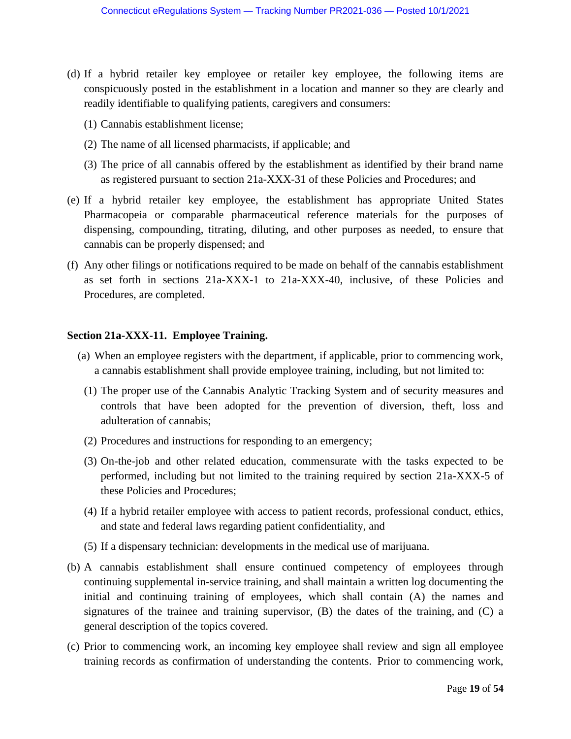- (d) If a hybrid retailer key employee or retailer key employee, the following items are conspicuously posted in the establishment in a location and manner so they are clearly and readily identifiable to qualifying patients, caregivers and consumers:
	- (1) Cannabis establishment license;
	- (2) The name of all licensed pharmacists, if applicable; and
	- (3) The price of all cannabis offered by the establishment as identified by their brand name as registered pursuant to section 21a-XXX-31 of these Policies and Procedures; and
- (e) If a hybrid retailer key employee, the establishment has appropriate United States Pharmacopeia or comparable pharmaceutical reference materials for the purposes of dispensing, compounding, titrating, diluting, and other purposes as needed, to ensure that cannabis can be properly dispensed; and
- (f) Any other filings or notifications required to be made on behalf of the cannabis establishment as set forth in sections 21a-XXX-1 to 21a-XXX-40, inclusive, of these Policies and Procedures, are completed.

#### **Section 21a-XXX-11. Employee Training.**

- (a) When an employee registers with the department, if applicable, prior to commencing work, a cannabis establishment shall provide employee training, including, but not limited to:
	- (1) The proper use of the Cannabis Analytic Tracking System and of security measures and controls that have been adopted for the prevention of diversion, theft, loss and adulteration of cannabis;
	- (2) Procedures and instructions for responding to an emergency;
	- (3) On-the-job and other related education, commensurate with the tasks expected to be performed, including but not limited to the training required by section 21a-XXX-5 of these Policies and Procedures;
	- (4) If a hybrid retailer employee with access to patient records, professional conduct, ethics, and state and federal laws regarding patient confidentiality, and
	- (5) If a dispensary technician: developments in the medical use of marijuana.
- (b) A cannabis establishment shall ensure continued competency of employees through continuing supplemental in-service training, and shall maintain a written log documenting the initial and continuing training of employees, which shall contain (A) the names and signatures of the trainee and training supervisor,  $(B)$  the dates of the training, and  $(C)$  a general description of the topics covered.
- (c) Prior to commencing work, an incoming key employee shall review and sign all employee training records as confirmation of understanding the contents. Prior to commencing work,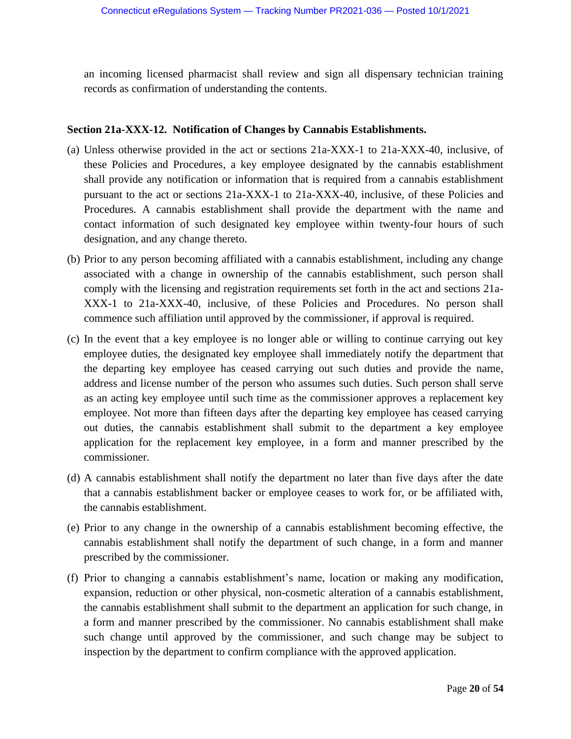an incoming licensed pharmacist shall review and sign all dispensary technician training records as confirmation of understanding the contents.

## **Section 21a-XXX-12. Notification of Changes by Cannabis Establishments.**

- (a) Unless otherwise provided in the act or sections 21a-XXX-1 to 21a-XXX-40, inclusive, of these Policies and Procedures, a key employee designated by the cannabis establishment shall provide any notification or information that is required from a cannabis establishment pursuant to the act or sections 21a-XXX-1 to 21a-XXX-40, inclusive, of these Policies and Procedures. A cannabis establishment shall provide the department with the name and contact information of such designated key employee within twenty-four hours of such designation, and any change thereto.
- (b) Prior to any person becoming affiliated with a cannabis establishment, including any change associated with a change in ownership of the cannabis establishment, such person shall comply with the licensing and registration requirements set forth in the act and sections 21a-XXX-1 to 21a-XXX-40, inclusive, of these Policies and Procedures. No person shall commence such affiliation until approved by the commissioner, if approval is required.
- (c) In the event that a key employee is no longer able or willing to continue carrying out key employee duties, the designated key employee shall immediately notify the department that the departing key employee has ceased carrying out such duties and provide the name, address and license number of the person who assumes such duties. Such person shall serve as an acting key employee until such time as the commissioner approves a replacement key employee. Not more than fifteen days after the departing key employee has ceased carrying out duties, the cannabis establishment shall submit to the department a key employee application for the replacement key employee, in a form and manner prescribed by the commissioner.
- (d) A cannabis establishment shall notify the department no later than five days after the date that a cannabis establishment backer or employee ceases to work for, or be affiliated with, the cannabis establishment.
- (e) Prior to any change in the ownership of a cannabis establishment becoming effective, the cannabis establishment shall notify the department of such change, in a form and manner prescribed by the commissioner.
- (f) Prior to changing a cannabis establishment's name, location or making any modification, expansion, reduction or other physical, non-cosmetic alteration of a cannabis establishment, the cannabis establishment shall submit to the department an application for such change, in a form and manner prescribed by the commissioner. No cannabis establishment shall make such change until approved by the commissioner, and such change may be subject to inspection by the department to confirm compliance with the approved application.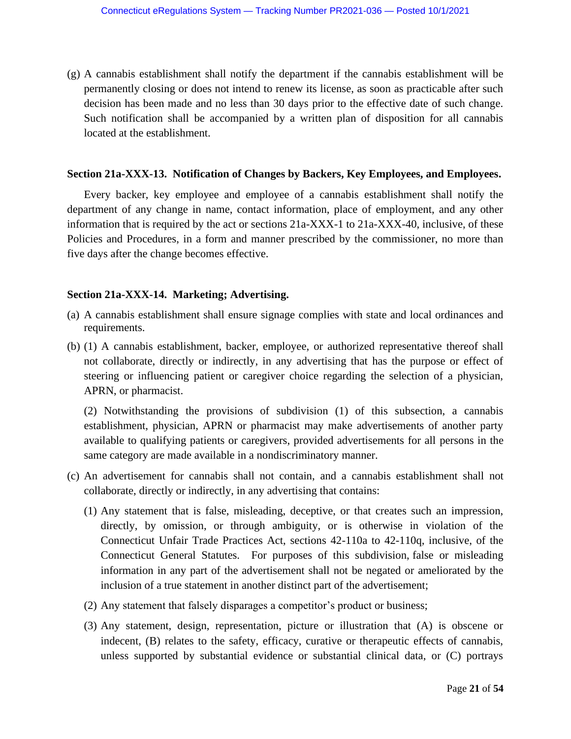(g) A cannabis establishment shall notify the department if the cannabis establishment will be permanently closing or does not intend to renew its license, as soon as practicable after such decision has been made and no less than 30 days prior to the effective date of such change. Such notification shall be accompanied by a written plan of disposition for all cannabis located at the establishment.

### **Section 21a-XXX-13. Notification of Changes by Backers, Key Employees, and Employees.**

Every backer, key employee and employee of a cannabis establishment shall notify the department of any change in name, contact information, place of employment, and any other information that is required by the act or sections 21a-XXX-1 to 21a-XXX-40, inclusive, of these Policies and Procedures, in a form and manner prescribed by the commissioner, no more than five days after the change becomes effective.

## **Section 21a-XXX-14. Marketing; Advertising.**

- (a) A cannabis establishment shall ensure signage complies with state and local ordinances and requirements.
- (b) (1) A cannabis establishment, backer, employee, or authorized representative thereof shall not collaborate, directly or indirectly, in any advertising that has the purpose or effect of steering or influencing patient or caregiver choice regarding the selection of a physician, APRN, or pharmacist.

(2) Notwithstanding the provisions of subdivision (1) of this subsection, a cannabis establishment, physician, APRN or pharmacist may make advertisements of another party available to qualifying patients or caregivers, provided advertisements for all persons in the same category are made available in a nondiscriminatory manner.

- (c) An advertisement for cannabis shall not contain, and a cannabis establishment shall not collaborate, directly or indirectly, in any advertising that contains:
	- (1) Any statement that is false, misleading, deceptive, or that creates such an impression, directly, by omission, or through ambiguity, or is otherwise in violation of the Connecticut Unfair Trade Practices Act, sections 42-110a to 42-110q, inclusive, of the Connecticut General Statutes. For purposes of this subdivision, false or misleading information in any part of the advertisement shall not be negated or ameliorated by the inclusion of a true statement in another distinct part of the advertisement;
	- (2) Any statement that falsely disparages a competitor's product or business;
	- (3) Any statement, design, representation, picture or illustration that (A) is obscene or indecent, (B) relates to the safety, efficacy, curative or therapeutic effects of cannabis, unless supported by substantial evidence or substantial clinical data, or (C) portrays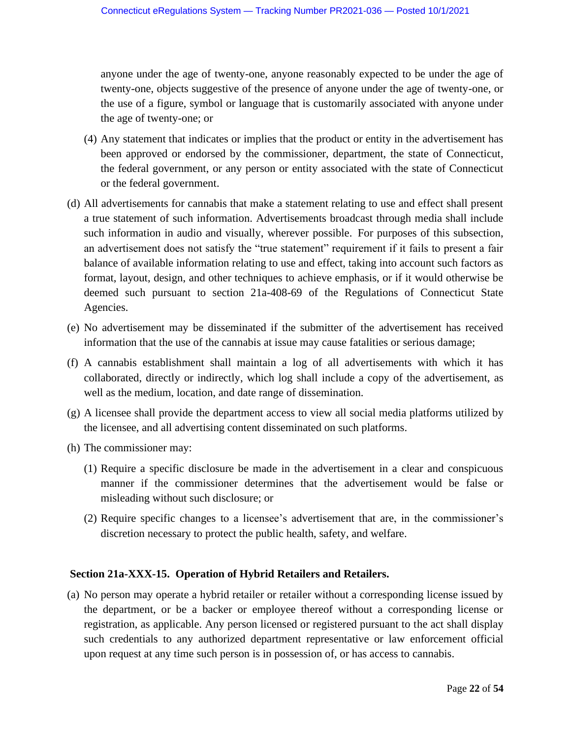anyone under the age of twenty-one, anyone reasonably expected to be under the age of twenty-one, objects suggestive of the presence of anyone under the age of twenty-one, or the use of a figure, symbol or language that is customarily associated with anyone under the age of twenty-one; or

- (4) Any statement that indicates or implies that the product or entity in the advertisement has been approved or endorsed by the commissioner, department, the state of Connecticut, the federal government, or any person or entity associated with the state of Connecticut or the federal government.
- (d) All advertisements for cannabis that make a statement relating to use and effect shall present a true statement of such information. Advertisements broadcast through media shall include such information in audio and visually, wherever possible. For purposes of this subsection, an advertisement does not satisfy the "true statement" requirement if it fails to present a fair balance of available information relating to use and effect, taking into account such factors as format, layout, design, and other techniques to achieve emphasis, or if it would otherwise be deemed such pursuant to section 21a-408-69 of the Regulations of Connecticut State Agencies.
- (e) No advertisement may be disseminated if the submitter of the advertisement has received information that the use of the cannabis at issue may cause fatalities or serious damage;
- (f) A cannabis establishment shall maintain a log of all advertisements with which it has collaborated, directly or indirectly, which log shall include a copy of the advertisement, as well as the medium, location, and date range of dissemination.
- (g) A licensee shall provide the department access to view all social media platforms utilized by the licensee, and all advertising content disseminated on such platforms.
- (h) The commissioner may:
	- (1) Require a specific disclosure be made in the advertisement in a clear and conspicuous manner if the commissioner determines that the advertisement would be false or misleading without such disclosure; or
	- (2) Require specific changes to a licensee's advertisement that are, in the commissioner's discretion necessary to protect the public health, safety, and welfare.

## **Section 21a-XXX-15. Operation of Hybrid Retailers and Retailers.**

(a) No person may operate a hybrid retailer or retailer without a corresponding license issued by the department, or be a backer or employee thereof without a corresponding license or registration, as applicable. Any person licensed or registered pursuant to the act shall display such credentials to any authorized department representative or law enforcement official upon request at any time such person is in possession of, or has access to cannabis.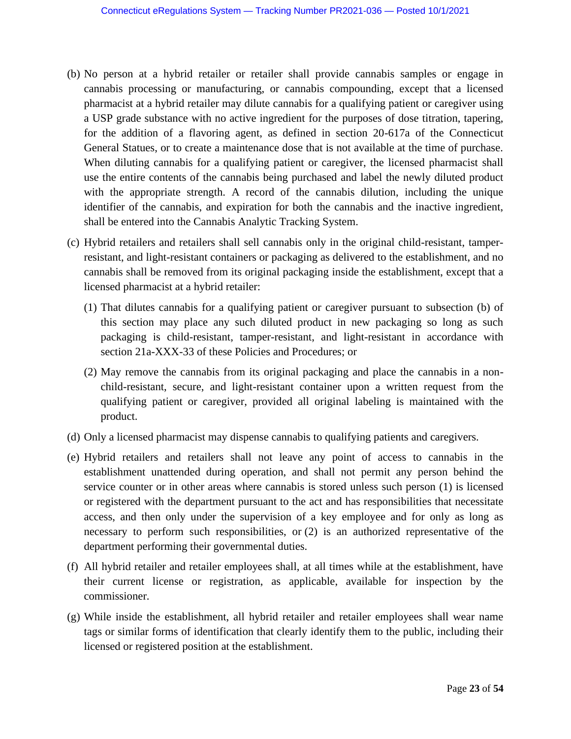- (b) No person at a hybrid retailer or retailer shall provide cannabis samples or engage in cannabis processing or manufacturing, or cannabis compounding, except that a licensed pharmacist at a hybrid retailer may dilute cannabis for a qualifying patient or caregiver using a USP grade substance with no active ingredient for the purposes of dose titration, tapering, for the addition of a flavoring agent, as defined in section 20-617a of the Connecticut General Statues, or to create a maintenance dose that is not available at the time of purchase. When diluting cannabis for a qualifying patient or caregiver, the licensed pharmacist shall use the entire contents of the cannabis being purchased and label the newly diluted product with the appropriate strength. A record of the cannabis dilution, including the unique identifier of the cannabis, and expiration for both the cannabis and the inactive ingredient, shall be entered into the Cannabis Analytic Tracking System.
- (c) Hybrid retailers and retailers shall sell cannabis only in the original child-resistant, tamperresistant, and light-resistant containers or packaging as delivered to the establishment, and no cannabis shall be removed from its original packaging inside the establishment, except that a licensed pharmacist at a hybrid retailer:
	- (1) That dilutes cannabis for a qualifying patient or caregiver pursuant to subsection (b) of this section may place any such diluted product in new packaging so long as such packaging is child-resistant, tamper-resistant, and light-resistant in accordance with section 21a-XXX-33 of these Policies and Procedures; or
	- (2) May remove the cannabis from its original packaging and place the cannabis in a nonchild-resistant, secure, and light-resistant container upon a written request from the qualifying patient or caregiver, provided all original labeling is maintained with the product.
- (d) Only a licensed pharmacist may dispense cannabis to qualifying patients and caregivers.
- (e) Hybrid retailers and retailers shall not leave any point of access to cannabis in the establishment unattended during operation, and shall not permit any person behind the service counter or in other areas where cannabis is stored unless such person (1) is licensed or registered with the department pursuant to the act and has responsibilities that necessitate access, and then only under the supervision of a key employee and for only as long as necessary to perform such responsibilities, or (2) is an authorized representative of the department performing their governmental duties.
- (f) All hybrid retailer and retailer employees shall, at all times while at the establishment, have their current license or registration, as applicable, available for inspection by the commissioner.
- (g) While inside the establishment, all hybrid retailer and retailer employees shall wear name tags or similar forms of identification that clearly identify them to the public, including their licensed or registered position at the establishment.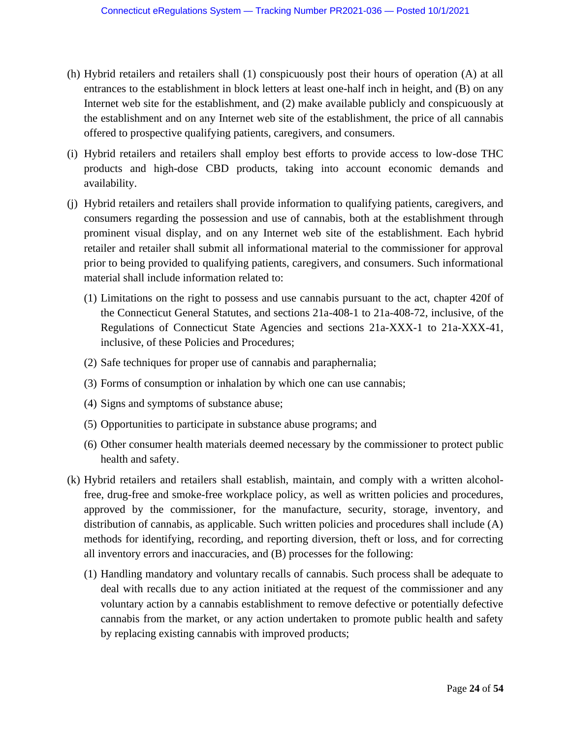- (h) Hybrid retailers and retailers shall (1) conspicuously post their hours of operation (A) at all entrances to the establishment in block letters at least one-half inch in height, and (B) on any Internet web site for the establishment, and (2) make available publicly and conspicuously at the establishment and on any Internet web site of the establishment, the price of all cannabis offered to prospective qualifying patients, caregivers, and consumers.
- (i) Hybrid retailers and retailers shall employ best efforts to provide access to low-dose THC products and high-dose CBD products, taking into account economic demands and availability.
- (j) Hybrid retailers and retailers shall provide information to qualifying patients, caregivers, and consumers regarding the possession and use of cannabis, both at the establishment through prominent visual display, and on any Internet web site of the establishment. Each hybrid retailer and retailer shall submit all informational material to the commissioner for approval prior to being provided to qualifying patients, caregivers, and consumers. Such informational material shall include information related to:
	- (1) Limitations on the right to possess and use cannabis pursuant to the act, chapter 420f of the Connecticut General Statutes, and sections 21a-408-1 to 21a-408-72, inclusive, of the Regulations of Connecticut State Agencies and sections 21a-XXX-1 to 21a-XXX-41, inclusive, of these Policies and Procedures;
	- (2) Safe techniques for proper use of cannabis and paraphernalia;
	- (3) Forms of consumption or inhalation by which one can use cannabis;
	- (4) Signs and symptoms of substance abuse;
	- (5) Opportunities to participate in substance abuse programs; and
	- (6) Other consumer health materials deemed necessary by the commissioner to protect public health and safety.
- (k) Hybrid retailers and retailers shall establish, maintain, and comply with a written alcoholfree, drug-free and smoke-free workplace policy, as well as written policies and procedures, approved by the commissioner, for the manufacture, security, storage, inventory, and distribution of cannabis, as applicable. Such written policies and procedures shall include (A) methods for identifying, recording, and reporting diversion, theft or loss, and for correcting all inventory errors and inaccuracies, and (B) processes for the following:
	- (1) Handling mandatory and voluntary recalls of cannabis. Such process shall be adequate to deal with recalls due to any action initiated at the request of the commissioner and any voluntary action by a cannabis establishment to remove defective or potentially defective cannabis from the market, or any action undertaken to promote public health and safety by replacing existing cannabis with improved products;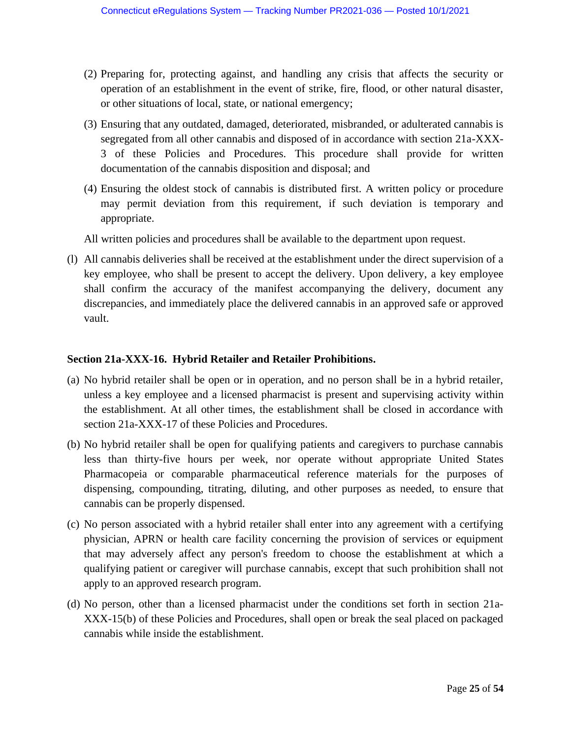- (2) Preparing for, protecting against, and handling any crisis that affects the security or operation of an establishment in the event of strike, fire, flood, or other natural disaster, or other situations of local, state, or national emergency;
- (3) Ensuring that any outdated, damaged, deteriorated, misbranded, or adulterated cannabis is segregated from all other cannabis and disposed of in accordance with section 21a-XXX-3 of these Policies and Procedures. This procedure shall provide for written documentation of the cannabis disposition and disposal; and
- (4) Ensuring the oldest stock of cannabis is distributed first. A written policy or procedure may permit deviation from this requirement, if such deviation is temporary and appropriate.
- All written policies and procedures shall be available to the department upon request.
- (l) All cannabis deliveries shall be received at the establishment under the direct supervision of a key employee, who shall be present to accept the delivery. Upon delivery, a key employee shall confirm the accuracy of the manifest accompanying the delivery, document any discrepancies, and immediately place the delivered cannabis in an approved safe or approved vault.

### **Section 21a-XXX-16. Hybrid Retailer and Retailer Prohibitions.**

- (a) No hybrid retailer shall be open or in operation, and no person shall be in a hybrid retailer, unless a key employee and a licensed pharmacist is present and supervising activity within the establishment. At all other times, the establishment shall be closed in accordance with section 21a-XXX-17 of these Policies and Procedures.
- (b) No hybrid retailer shall be open for qualifying patients and caregivers to purchase cannabis less than thirty-five hours per week, nor operate without appropriate United States Pharmacopeia or comparable pharmaceutical reference materials for the purposes of dispensing, compounding, titrating, diluting, and other purposes as needed, to ensure that cannabis can be properly dispensed.
- (c) No person associated with a hybrid retailer shall enter into any agreement with a certifying physician, APRN or health care facility concerning the provision of services or equipment that may adversely affect any person's freedom to choose the establishment at which a qualifying patient or caregiver will purchase cannabis, except that such prohibition shall not apply to an approved research program.
- (d) No person, other than a licensed pharmacist under the conditions set forth in section 21a-XXX-15(b) of these Policies and Procedures, shall open or break the seal placed on packaged cannabis while inside the establishment.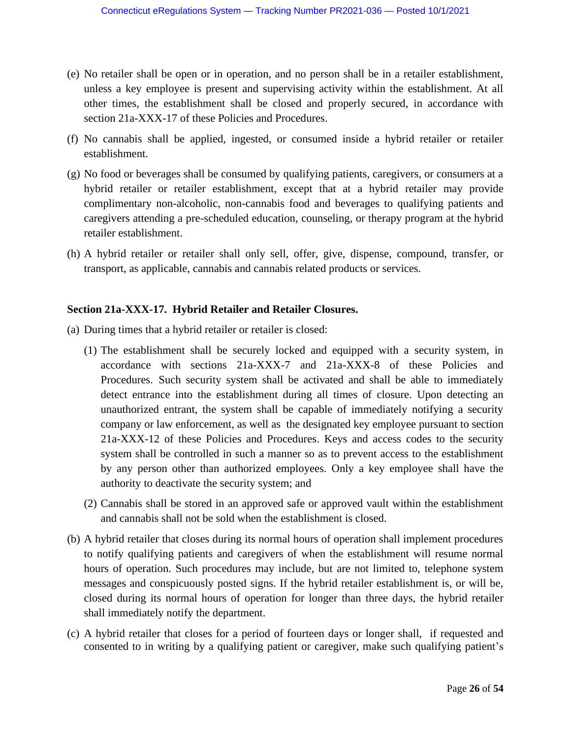- (e) No retailer shall be open or in operation, and no person shall be in a retailer establishment, unless a key employee is present and supervising activity within the establishment. At all other times, the establishment shall be closed and properly secured, in accordance with section 21a-XXX-17 of these Policies and Procedures.
- (f) No cannabis shall be applied, ingested, or consumed inside a hybrid retailer or retailer establishment.
- (g) No food or beverages shall be consumed by qualifying patients, caregivers, or consumers at a hybrid retailer or retailer establishment, except that at a hybrid retailer may provide complimentary non-alcoholic, non-cannabis food and beverages to qualifying patients and caregivers attending a pre-scheduled education, counseling, or therapy program at the hybrid retailer establishment.
- (h) A hybrid retailer or retailer shall only sell, offer, give, dispense, compound, transfer, or transport, as applicable, cannabis and cannabis related products or services.

### **Section 21a-XXX-17. Hybrid Retailer and Retailer Closures.**

- (a) During times that a hybrid retailer or retailer is closed:
	- (1) The establishment shall be securely locked and equipped with a security system, in accordance with sections 21a-XXX-7 and 21a-XXX-8 of these Policies and Procedures. Such security system shall be activated and shall be able to immediately detect entrance into the establishment during all times of closure. Upon detecting an unauthorized entrant, the system shall be capable of immediately notifying a security company or law enforcement, as well as the designated key employee pursuant to section 21a-XXX-12 of these Policies and Procedures. Keys and access codes to the security system shall be controlled in such a manner so as to prevent access to the establishment by any person other than authorized employees. Only a key employee shall have the authority to deactivate the security system; and
	- (2) Cannabis shall be stored in an approved safe or approved vault within the establishment and cannabis shall not be sold when the establishment is closed.
- (b) A hybrid retailer that closes during its normal hours of operation shall implement procedures to notify qualifying patients and caregivers of when the establishment will resume normal hours of operation. Such procedures may include, but are not limited to, telephone system messages and conspicuously posted signs. If the hybrid retailer establishment is, or will be, closed during its normal hours of operation for longer than three days, the hybrid retailer shall immediately notify the department.
- (c) A hybrid retailer that closes for a period of fourteen days or longer shall, if requested and consented to in writing by a qualifying patient or caregiver, make such qualifying patient's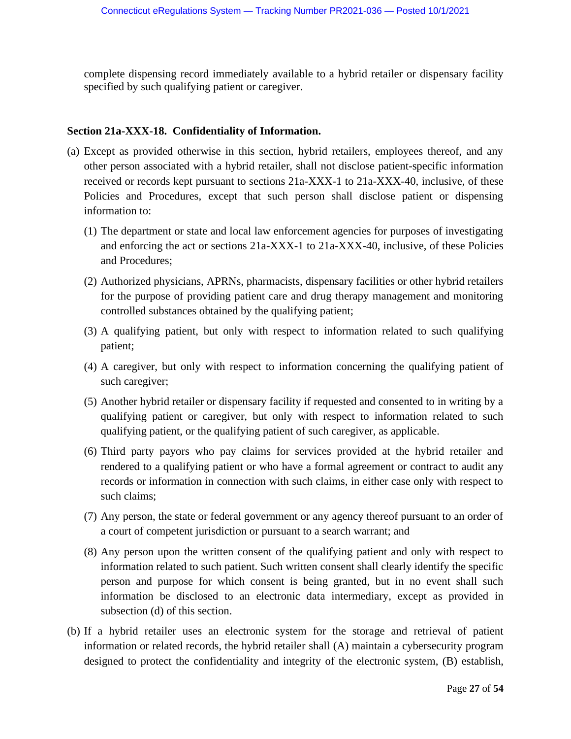complete dispensing record immediately available to a hybrid retailer or dispensary facility specified by such qualifying patient or caregiver.

### **Section 21a-XXX-18. Confidentiality of Information.**

- (a) Except as provided otherwise in this section, hybrid retailers, employees thereof, and any other person associated with a hybrid retailer, shall not disclose patient-specific information received or records kept pursuant to sections 21a-XXX-1 to 21a-XXX-40, inclusive, of these Policies and Procedures, except that such person shall disclose patient or dispensing information to:
	- (1) The department or state and local law enforcement agencies for purposes of investigating and enforcing the act or sections 21a-XXX-1 to 21a-XXX-40, inclusive, of these Policies and Procedures;
	- (2) Authorized physicians, APRNs, pharmacists, dispensary facilities or other hybrid retailers for the purpose of providing patient care and drug therapy management and monitoring controlled substances obtained by the qualifying patient;
	- (3) A qualifying patient, but only with respect to information related to such qualifying patient;
	- (4) A caregiver, but only with respect to information concerning the qualifying patient of such caregiver;
	- (5) Another hybrid retailer or dispensary facility if requested and consented to in writing by a qualifying patient or caregiver, but only with respect to information related to such qualifying patient, or the qualifying patient of such caregiver, as applicable.
	- (6) Third party payors who pay claims for services provided at the hybrid retailer and rendered to a qualifying patient or who have a formal agreement or contract to audit any records or information in connection with such claims, in either case only with respect to such claims;
	- (7) Any person, the state or federal government or any agency thereof pursuant to an order of a court of competent jurisdiction or pursuant to a search warrant; and
	- (8) Any person upon the written consent of the qualifying patient and only with respect to information related to such patient. Such written consent shall clearly identify the specific person and purpose for which consent is being granted, but in no event shall such information be disclosed to an electronic data intermediary, except as provided in subsection (d) of this section.
- (b) If a hybrid retailer uses an electronic system for the storage and retrieval of patient information or related records, the hybrid retailer shall (A) maintain a cybersecurity program designed to protect the confidentiality and integrity of the electronic system, (B) establish,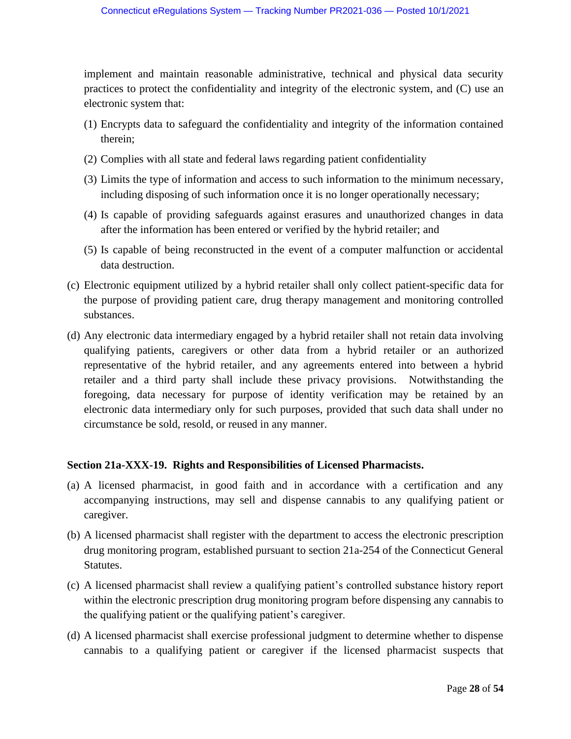implement and maintain reasonable administrative, technical and physical data security practices to protect the confidentiality and integrity of the electronic system, and (C) use an electronic system that:

- (1) Encrypts data to safeguard the confidentiality and integrity of the information contained therein;
- (2) Complies with all state and federal laws regarding patient confidentiality
- (3) Limits the type of information and access to such information to the minimum necessary, including disposing of such information once it is no longer operationally necessary;
- (4) Is capable of providing safeguards against erasures and unauthorized changes in data after the information has been entered or verified by the hybrid retailer; and
- (5) Is capable of being reconstructed in the event of a computer malfunction or accidental data destruction.
- (c) Electronic equipment utilized by a hybrid retailer shall only collect patient-specific data for the purpose of providing patient care, drug therapy management and monitoring controlled substances.
- (d) Any electronic data intermediary engaged by a hybrid retailer shall not retain data involving qualifying patients, caregivers or other data from a hybrid retailer or an authorized representative of the hybrid retailer, and any agreements entered into between a hybrid retailer and a third party shall include these privacy provisions. Notwithstanding the foregoing, data necessary for purpose of identity verification may be retained by an electronic data intermediary only for such purposes, provided that such data shall under no circumstance be sold, resold, or reused in any manner.

## **Section 21a-XXX-19. Rights and Responsibilities of Licensed Pharmacists.**

- (a) A licensed pharmacist, in good faith and in accordance with a certification and any accompanying instructions, may sell and dispense cannabis to any qualifying patient or caregiver.
- (b) A licensed pharmacist shall register with the department to access the electronic prescription drug monitoring program, established pursuant to section 21a-254 of the Connecticut General Statutes.
- (c) A licensed pharmacist shall review a qualifying patient's controlled substance history report within the electronic prescription drug monitoring program before dispensing any cannabis to the qualifying patient or the qualifying patient's caregiver.
- (d) A licensed pharmacist shall exercise professional judgment to determine whether to dispense cannabis to a qualifying patient or caregiver if the licensed pharmacist suspects that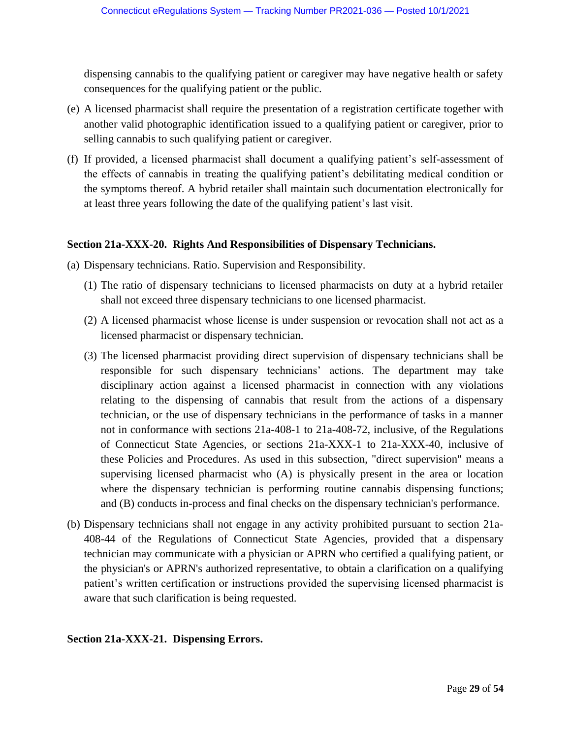dispensing cannabis to the qualifying patient or caregiver may have negative health or safety consequences for the qualifying patient or the public.

- (e) A licensed pharmacist shall require the presentation of a registration certificate together with another valid photographic identification issued to a qualifying patient or caregiver, prior to selling cannabis to such qualifying patient or caregiver.
- (f) If provided, a licensed pharmacist shall document a qualifying patient's self-assessment of the effects of cannabis in treating the qualifying patient's debilitating medical condition or the symptoms thereof. A hybrid retailer shall maintain such documentation electronically for at least three years following the date of the qualifying patient's last visit.

## **Section 21a-XXX-20. Rights And Responsibilities of Dispensary Technicians.**

- (a) Dispensary technicians. Ratio. Supervision and Responsibility.
	- (1) The ratio of dispensary technicians to licensed pharmacists on duty at a hybrid retailer shall not exceed three dispensary technicians to one licensed pharmacist.
	- (2) A licensed pharmacist whose license is under suspension or revocation shall not act as a licensed pharmacist or dispensary technician.
	- (3) The licensed pharmacist providing direct supervision of dispensary technicians shall be responsible for such dispensary technicians' actions. The department may take disciplinary action against a licensed pharmacist in connection with any violations relating to the dispensing of cannabis that result from the actions of a dispensary technician, or the use of dispensary technicians in the performance of tasks in a manner not in conformance with sections 21a-408-1 to 21a-408-72, inclusive, of the Regulations of Connecticut State Agencies, or sections 21a-XXX-1 to 21a-XXX-40, inclusive of these Policies and Procedures. As used in this subsection, "direct supervision" means a supervising licensed pharmacist who (A) is physically present in the area or location where the dispensary technician is performing routine cannabis dispensing functions; and (B) conducts in-process and final checks on the dispensary technician's performance.
- (b) Dispensary technicians shall not engage in any activity prohibited pursuant to section 21a-408-44 of the Regulations of Connecticut State Agencies, provided that a dispensary technician may communicate with a physician or APRN who certified a qualifying patient, or the physician's or APRN's authorized representative, to obtain a clarification on a qualifying patient's written certification or instructions provided the supervising licensed pharmacist is aware that such clarification is being requested.

## **Section 21a-XXX-21. Dispensing Errors.**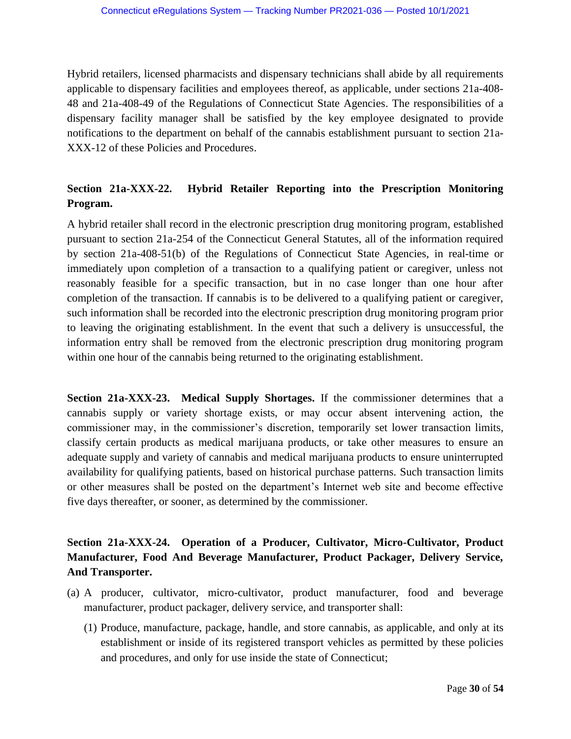Hybrid retailers, licensed pharmacists and dispensary technicians shall abide by all requirements applicable to dispensary facilities and employees thereof, as applicable, under sections 21a-408- 48 and 21a-408-49 of the Regulations of Connecticut State Agencies. The responsibilities of a dispensary facility manager shall be satisfied by the key employee designated to provide notifications to the department on behalf of the cannabis establishment pursuant to section 21a-XXX-12 of these Policies and Procedures.

# **Section 21a-XXX-22. Hybrid Retailer Reporting into the Prescription Monitoring Program.**

A hybrid retailer shall record in the electronic prescription drug monitoring program, established pursuant to section 21a-254 of the Connecticut General Statutes, all of the information required by section 21a-408-51(b) of the Regulations of Connecticut State Agencies, in real-time or immediately upon completion of a transaction to a qualifying patient or caregiver, unless not reasonably feasible for a specific transaction, but in no case longer than one hour after completion of the transaction. If cannabis is to be delivered to a qualifying patient or caregiver, such information shall be recorded into the electronic prescription drug monitoring program prior to leaving the originating establishment. In the event that such a delivery is unsuccessful, the information entry shall be removed from the electronic prescription drug monitoring program within one hour of the cannabis being returned to the originating establishment.

**Section 21a-XXX-23. Medical Supply Shortages.** If the commissioner determines that a cannabis supply or variety shortage exists, or may occur absent intervening action, the commissioner may, in the commissioner's discretion, temporarily set lower transaction limits, classify certain products as medical marijuana products, or take other measures to ensure an adequate supply and variety of cannabis and medical marijuana products to ensure uninterrupted availability for qualifying patients, based on historical purchase patterns. Such transaction limits or other measures shall be posted on the department's Internet web site and become effective five days thereafter, or sooner, as determined by the commissioner.

# **Section 21a-XXX-24. Operation of a Producer, Cultivator, Micro-Cultivator, Product Manufacturer, Food And Beverage Manufacturer, Product Packager, Delivery Service, And Transporter.**

- (a) A producer, cultivator, micro-cultivator, product manufacturer, food and beverage manufacturer, product packager, delivery service, and transporter shall:
	- (1) Produce, manufacture, package, handle, and store cannabis, as applicable, and only at its establishment or inside of its registered transport vehicles as permitted by these policies and procedures, and only for use inside the state of Connecticut;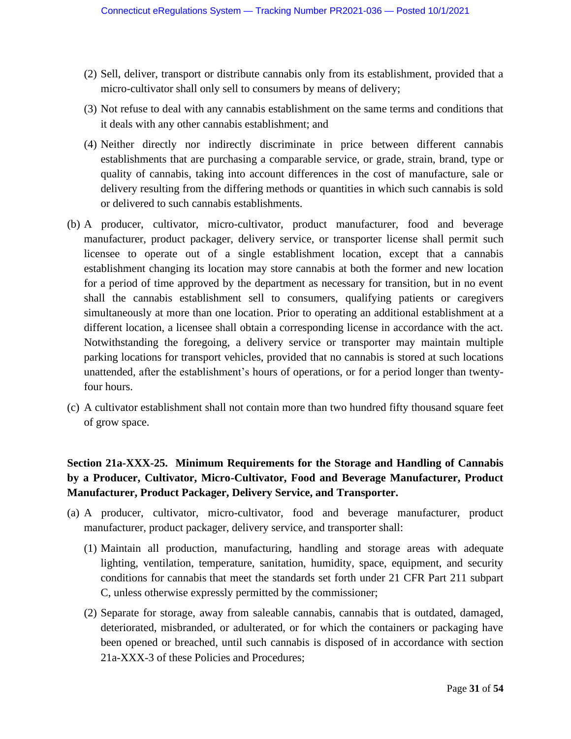- (2) Sell, deliver, transport or distribute cannabis only from its establishment, provided that a micro-cultivator shall only sell to consumers by means of delivery;
- (3) Not refuse to deal with any cannabis establishment on the same terms and conditions that it deals with any other cannabis establishment; and
- (4) Neither directly nor indirectly discriminate in price between different cannabis establishments that are purchasing a comparable service, or grade, strain, brand, type or quality of cannabis, taking into account differences in the cost of manufacture, sale or delivery resulting from the differing methods or quantities in which such cannabis is sold or delivered to such cannabis establishments.
- (b) A producer, cultivator, micro-cultivator, product manufacturer, food and beverage manufacturer, product packager, delivery service, or transporter license shall permit such licensee to operate out of a single establishment location, except that a cannabis establishment changing its location may store cannabis at both the former and new location for a period of time approved by the department as necessary for transition, but in no event shall the cannabis establishment sell to consumers, qualifying patients or caregivers simultaneously at more than one location. Prior to operating an additional establishment at a different location, a licensee shall obtain a corresponding license in accordance with the act. Notwithstanding the foregoing, a delivery service or transporter may maintain multiple parking locations for transport vehicles, provided that no cannabis is stored at such locations unattended, after the establishment's hours of operations, or for a period longer than twentyfour hours.
- (c) A cultivator establishment shall not contain more than two hundred fifty thousand square feet of grow space.

# **Section 21a-XXX-25. Minimum Requirements for the Storage and Handling of Cannabis by a Producer, Cultivator, Micro-Cultivator, Food and Beverage Manufacturer, Product Manufacturer, Product Packager, Delivery Service, and Transporter.**

- (a) A producer, cultivator, micro-cultivator, food and beverage manufacturer, product manufacturer, product packager, delivery service, and transporter shall:
	- (1) Maintain all production, manufacturing, handling and storage areas with adequate lighting, ventilation, temperature, sanitation, humidity, space, equipment, and security conditions for cannabis that meet the standards set forth under 21 CFR Part 211 subpart C, unless otherwise expressly permitted by the commissioner;
	- (2) Separate for storage, away from saleable cannabis, cannabis that is outdated, damaged, deteriorated, misbranded, or adulterated, or for which the containers or packaging have been opened or breached, until such cannabis is disposed of in accordance with section 21a-XXX-3 of these Policies and Procedures;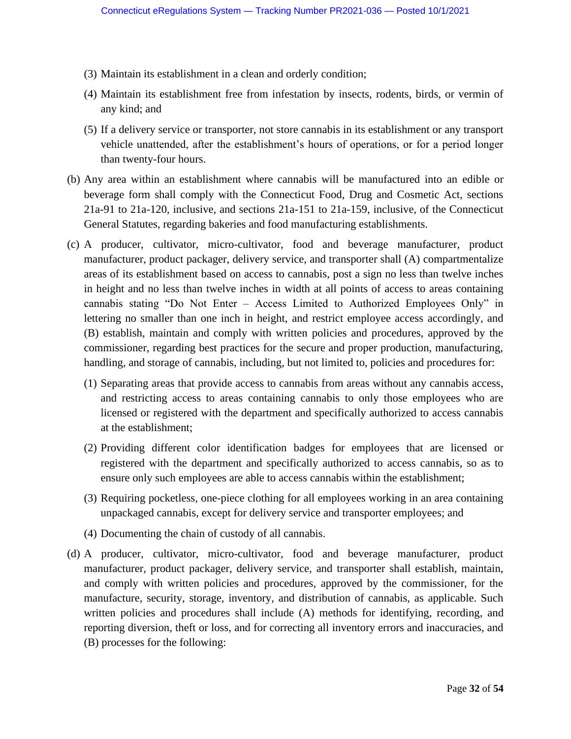- (3) Maintain its establishment in a clean and orderly condition;
- (4) Maintain its establishment free from infestation by insects, rodents, birds, or vermin of any kind; and
- (5) If a delivery service or transporter, not store cannabis in its establishment or any transport vehicle unattended, after the establishment's hours of operations, or for a period longer than twenty-four hours.
- (b) Any area within an establishment where cannabis will be manufactured into an edible or beverage form shall comply with the Connecticut Food, Drug and Cosmetic Act, sections 21a-91 to 21a-120, inclusive, and sections 21a-151 to 21a-159, inclusive, of the Connecticut General Statutes, regarding bakeries and food manufacturing establishments.
- (c) A producer, cultivator, micro-cultivator, food and beverage manufacturer, product manufacturer, product packager, delivery service, and transporter shall (A) compartmentalize areas of its establishment based on access to cannabis, post a sign no less than twelve inches in height and no less than twelve inches in width at all points of access to areas containing cannabis stating "Do Not Enter – Access Limited to Authorized Employees Only" in lettering no smaller than one inch in height, and restrict employee access accordingly, and (B) establish, maintain and comply with written policies and procedures, approved by the commissioner, regarding best practices for the secure and proper production, manufacturing, handling, and storage of cannabis, including, but not limited to, policies and procedures for:
	- (1) Separating areas that provide access to cannabis from areas without any cannabis access, and restricting access to areas containing cannabis to only those employees who are licensed or registered with the department and specifically authorized to access cannabis at the establishment;
	- (2) Providing different color identification badges for employees that are licensed or registered with the department and specifically authorized to access cannabis, so as to ensure only such employees are able to access cannabis within the establishment;
	- (3) Requiring pocketless, one-piece clothing for all employees working in an area containing unpackaged cannabis, except for delivery service and transporter employees; and
	- (4) Documenting the chain of custody of all cannabis.
- (d) A producer, cultivator, micro-cultivator, food and beverage manufacturer, product manufacturer, product packager, delivery service, and transporter shall establish, maintain, and comply with written policies and procedures, approved by the commissioner, for the manufacture, security, storage, inventory, and distribution of cannabis, as applicable. Such written policies and procedures shall include (A) methods for identifying, recording, and reporting diversion, theft or loss, and for correcting all inventory errors and inaccuracies, and (B) processes for the following: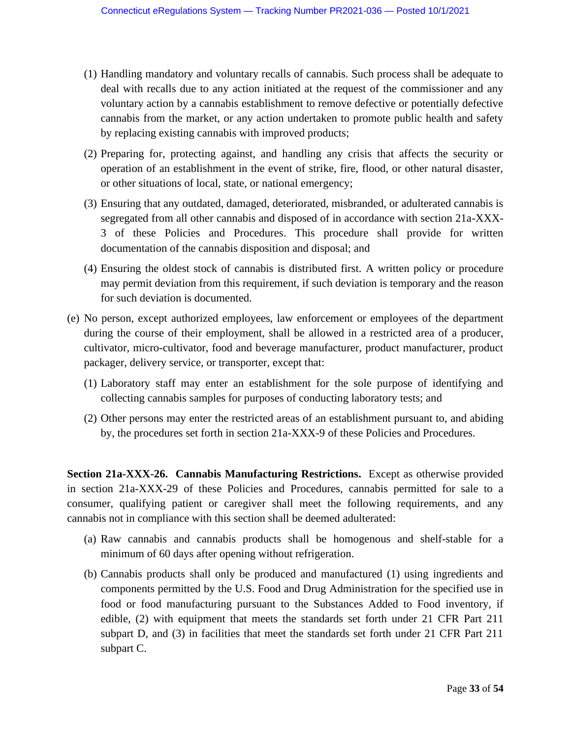- (1) Handling mandatory and voluntary recalls of cannabis. Such process shall be adequate to deal with recalls due to any action initiated at the request of the commissioner and any voluntary action by a cannabis establishment to remove defective or potentially defective cannabis from the market, or any action undertaken to promote public health and safety by replacing existing cannabis with improved products;
- (2) Preparing for, protecting against, and handling any crisis that affects the security or operation of an establishment in the event of strike, fire, flood, or other natural disaster, or other situations of local, state, or national emergency;
- (3) Ensuring that any outdated, damaged, deteriorated, misbranded, or adulterated cannabis is segregated from all other cannabis and disposed of in accordance with section 21a-XXX-3 of these Policies and Procedures. This procedure shall provide for written documentation of the cannabis disposition and disposal; and
- (4) Ensuring the oldest stock of cannabis is distributed first. A written policy or procedure may permit deviation from this requirement, if such deviation is temporary and the reason for such deviation is documented.
- (e) No person, except authorized employees, law enforcement or employees of the department during the course of their employment, shall be allowed in a restricted area of a producer, cultivator, micro-cultivator, food and beverage manufacturer, product manufacturer, product packager, delivery service, or transporter, except that:
	- (1) Laboratory staff may enter an establishment for the sole purpose of identifying and collecting cannabis samples for purposes of conducting laboratory tests; and
	- (2) Other persons may enter the restricted areas of an establishment pursuant to, and abiding by, the procedures set forth in section 21a-XXX-9 of these Policies and Procedures.

**Section 21a-XXX-26. Cannabis Manufacturing Restrictions.** Except as otherwise provided in section 21a-XXX-29 of these Policies and Procedures, cannabis permitted for sale to a consumer, qualifying patient or caregiver shall meet the following requirements, and any cannabis not in compliance with this section shall be deemed adulterated:

- (a) Raw cannabis and cannabis products shall be homogenous and shelf-stable for a minimum of 60 days after opening without refrigeration.
- (b) Cannabis products shall only be produced and manufactured (1) using ingredients and components permitted by the U.S. Food and Drug Administration for the specified use in food or food manufacturing pursuant to the Substances Added to Food inventory, if edible, (2) with equipment that meets the standards set forth under 21 CFR Part 211 subpart D, and (3) in facilities that meet the standards set forth under 21 CFR Part 211 subpart C.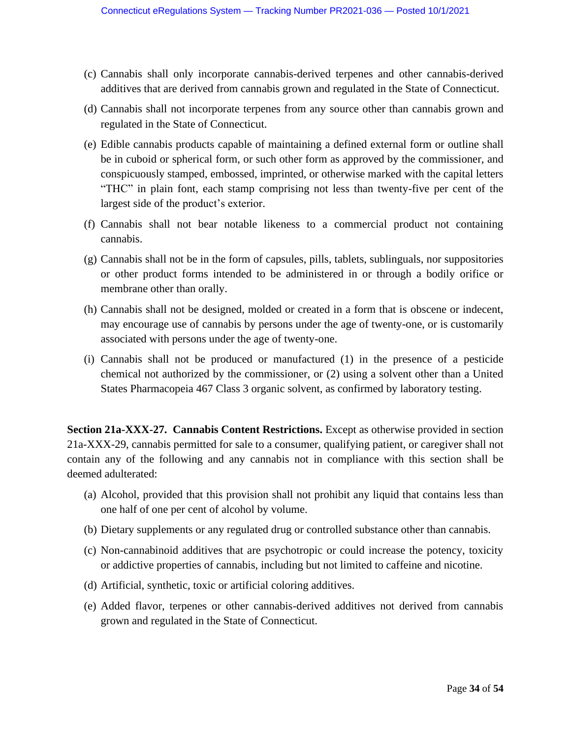- (c) Cannabis shall only incorporate cannabis-derived terpenes and other cannabis-derived additives that are derived from cannabis grown and regulated in the State of Connecticut.
- (d) Cannabis shall not incorporate terpenes from any source other than cannabis grown and regulated in the State of Connecticut.
- (e) Edible cannabis products capable of maintaining a defined external form or outline shall be in cuboid or spherical form, or such other form as approved by the commissioner, and conspicuously stamped, embossed, imprinted, or otherwise marked with the capital letters "THC" in plain font, each stamp comprising not less than twenty-five per cent of the largest side of the product's exterior.
- (f) Cannabis shall not bear notable likeness to a commercial product not containing cannabis.
- (g) Cannabis shall not be in the form of capsules, pills, tablets, sublinguals, nor suppositories or other product forms intended to be administered in or through a bodily orifice or membrane other than orally.
- (h) Cannabis shall not be designed, molded or created in a form that is obscene or indecent, may encourage use of cannabis by persons under the age of twenty-one, or is customarily associated with persons under the age of twenty-one.
- (i) Cannabis shall not be produced or manufactured (1) in the presence of a pesticide chemical not authorized by the commissioner, or (2) using a solvent other than a United States Pharmacopeia 467 Class 3 organic solvent, as confirmed by laboratory testing.

**Section 21a-XXX-27. Cannabis Content Restrictions.** Except as otherwise provided in section 21a-XXX-29, cannabis permitted for sale to a consumer, qualifying patient, or caregiver shall not contain any of the following and any cannabis not in compliance with this section shall be deemed adulterated:

- (a) Alcohol, provided that this provision shall not prohibit any liquid that contains less than one half of one per cent of alcohol by volume.
- (b) Dietary supplements or any regulated drug or controlled substance other than cannabis.
- (c) Non-cannabinoid additives that are psychotropic or could increase the potency, toxicity or addictive properties of cannabis, including but not limited to caffeine and nicotine.
- (d) Artificial, synthetic, toxic or artificial coloring additives.
- (e) Added flavor, terpenes or other cannabis-derived additives not derived from cannabis grown and regulated in the State of Connecticut.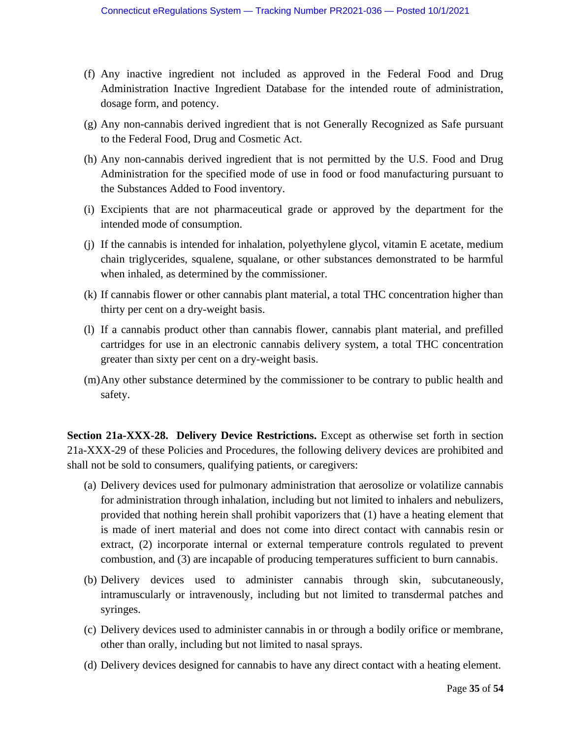- (f) Any inactive ingredient not included as approved in the Federal Food and Drug Administration Inactive Ingredient Database for the intended route of administration, dosage form, and potency.
- (g) Any non-cannabis derived ingredient that is not Generally Recognized as Safe pursuant to the Federal Food, Drug and Cosmetic Act.
- (h) Any non-cannabis derived ingredient that is not permitted by the U.S. Food and Drug Administration for the specified mode of use in food or food manufacturing pursuant to the Substances Added to Food inventory.
- (i) Excipients that are not pharmaceutical grade or approved by the department for the intended mode of consumption.
- (j) If the cannabis is intended for inhalation, polyethylene glycol, vitamin E acetate, medium chain triglycerides, squalene, squalane, or other substances demonstrated to be harmful when inhaled, as determined by the commissioner.
- (k) If cannabis flower or other cannabis plant material, a total THC concentration higher than thirty per cent on a dry-weight basis.
- (l) If a cannabis product other than cannabis flower, cannabis plant material, and prefilled cartridges for use in an electronic cannabis delivery system, a total THC concentration greater than sixty per cent on a dry-weight basis.
- (m)Any other substance determined by the commissioner to be contrary to public health and safety.

**Section 21a-XXX-28. Delivery Device Restrictions.** Except as otherwise set forth in section 21a-XXX-29 of these Policies and Procedures, the following delivery devices are prohibited and shall not be sold to consumers, qualifying patients, or caregivers:

- (a) Delivery devices used for pulmonary administration that aerosolize or volatilize cannabis for administration through inhalation, including but not limited to inhalers and nebulizers, provided that nothing herein shall prohibit vaporizers that (1) have a heating element that is made of inert material and does not come into direct contact with cannabis resin or extract, (2) incorporate internal or external temperature controls regulated to prevent combustion, and (3) are incapable of producing temperatures sufficient to burn cannabis.
- (b) Delivery devices used to administer cannabis through skin, subcutaneously, intramuscularly or intravenously, including but not limited to transdermal patches and syringes.
- (c) Delivery devices used to administer cannabis in or through a bodily orifice or membrane, other than orally, including but not limited to nasal sprays.
- (d) Delivery devices designed for cannabis to have any direct contact with a heating element.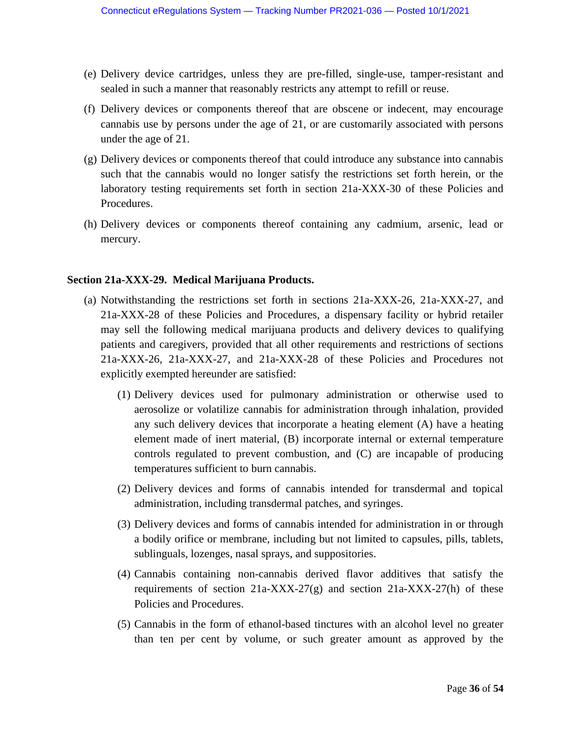- (e) Delivery device cartridges, unless they are pre-filled, single-use, tamper-resistant and sealed in such a manner that reasonably restricts any attempt to refill or reuse.
- (f) Delivery devices or components thereof that are obscene or indecent, may encourage cannabis use by persons under the age of 21, or are customarily associated with persons under the age of 21.
- (g) Delivery devices or components thereof that could introduce any substance into cannabis such that the cannabis would no longer satisfy the restrictions set forth herein, or the laboratory testing requirements set forth in section 21a-XXX-30 of these Policies and Procedures.
- (h) Delivery devices or components thereof containing any cadmium, arsenic, lead or mercury.

#### **Section 21a-XXX-29. Medical Marijuana Products.**

- (a) Notwithstanding the restrictions set forth in sections 21a-XXX-26, 21a-XXX-27, and 21a-XXX-28 of these Policies and Procedures, a dispensary facility or hybrid retailer may sell the following medical marijuana products and delivery devices to qualifying patients and caregivers, provided that all other requirements and restrictions of sections 21a-XXX-26, 21a-XXX-27, and 21a-XXX-28 of these Policies and Procedures not explicitly exempted hereunder are satisfied:
	- (1) Delivery devices used for pulmonary administration or otherwise used to aerosolize or volatilize cannabis for administration through inhalation, provided any such delivery devices that incorporate a heating element (A) have a heating element made of inert material, (B) incorporate internal or external temperature controls regulated to prevent combustion, and (C) are incapable of producing temperatures sufficient to burn cannabis.
	- (2) Delivery devices and forms of cannabis intended for transdermal and topical administration, including transdermal patches, and syringes.
	- (3) Delivery devices and forms of cannabis intended for administration in or through a bodily orifice or membrane, including but not limited to capsules, pills, tablets, sublinguals, lozenges, nasal sprays, and suppositories.
	- (4) Cannabis containing non-cannabis derived flavor additives that satisfy the requirements of section  $21a-XXX-27(g)$  and section  $21a-XXX-27(h)$  of these Policies and Procedures.
	- (5) Cannabis in the form of ethanol-based tinctures with an alcohol level no greater than ten per cent by volume, or such greater amount as approved by the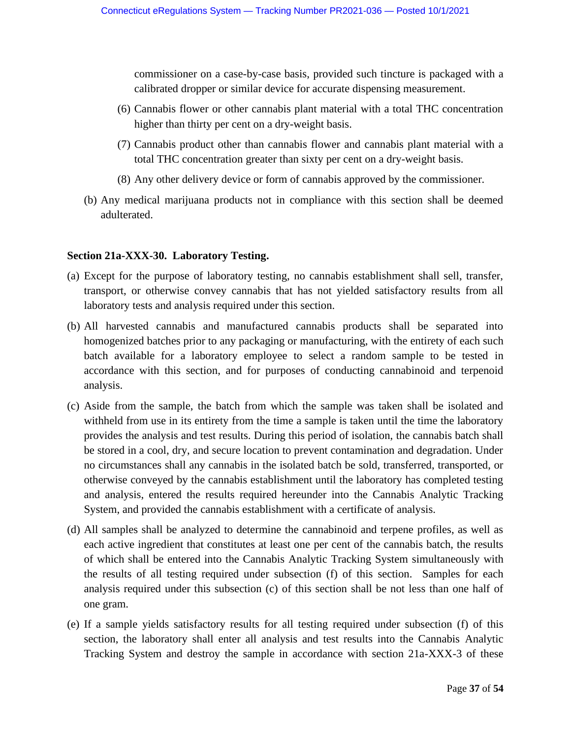commissioner on a case-by-case basis, provided such tincture is packaged with a calibrated dropper or similar device for accurate dispensing measurement.

- (6) Cannabis flower or other cannabis plant material with a total THC concentration higher than thirty per cent on a dry-weight basis.
- (7) Cannabis product other than cannabis flower and cannabis plant material with a total THC concentration greater than sixty per cent on a dry-weight basis.
- (8) Any other delivery device or form of cannabis approved by the commissioner.
- (b) Any medical marijuana products not in compliance with this section shall be deemed adulterated.

## **Section 21a-XXX-30. Laboratory Testing.**

- (a) Except for the purpose of laboratory testing, no cannabis establishment shall sell, transfer, transport, or otherwise convey cannabis that has not yielded satisfactory results from all laboratory tests and analysis required under this section.
- (b) All harvested cannabis and manufactured cannabis products shall be separated into homogenized batches prior to any packaging or manufacturing, with the entirety of each such batch available for a laboratory employee to select a random sample to be tested in accordance with this section, and for purposes of conducting cannabinoid and terpenoid analysis.
- (c) Aside from the sample, the batch from which the sample was taken shall be isolated and withheld from use in its entirety from the time a sample is taken until the time the laboratory provides the analysis and test results. During this period of isolation, the cannabis batch shall be stored in a cool, dry, and secure location to prevent contamination and degradation. Under no circumstances shall any cannabis in the isolated batch be sold, transferred, transported, or otherwise conveyed by the cannabis establishment until the laboratory has completed testing and analysis, entered the results required hereunder into the Cannabis Analytic Tracking System, and provided the cannabis establishment with a certificate of analysis.
- (d) All samples shall be analyzed to determine the cannabinoid and terpene profiles, as well as each active ingredient that constitutes at least one per cent of the cannabis batch, the results of which shall be entered into the Cannabis Analytic Tracking System simultaneously with the results of all testing required under subsection (f) of this section. Samples for each analysis required under this subsection (c) of this section shall be not less than one half of one gram.
- (e) If a sample yields satisfactory results for all testing required under subsection (f) of this section, the laboratory shall enter all analysis and test results into the Cannabis Analytic Tracking System and destroy the sample in accordance with section 21a-XXX-3 of these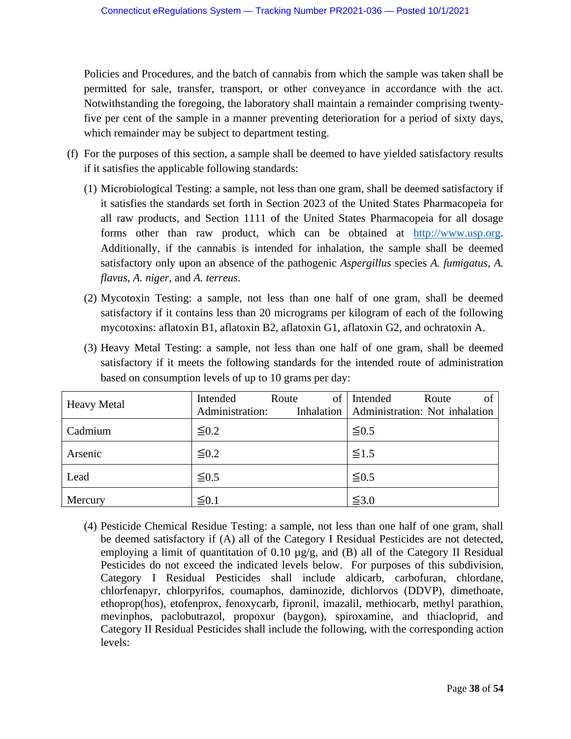Policies and Procedures, and the batch of cannabis from which the sample was taken shall be permitted for sale, transfer, transport, or other conveyance in accordance with the act. Notwithstanding the foregoing, the laboratory shall maintain a remainder comprising twentyfive per cent of the sample in a manner preventing deterioration for a period of sixty days, which remainder may be subject to department testing.

- (f) For the purposes of this section, a sample shall be deemed to have yielded satisfactory results if it satisfies the applicable following standards:
	- (1) Microbiological Testing: a sample, not less than one gram, shall be deemed satisfactory if it satisfies the standards set forth in Section 2023 of the United States Pharmacopeia for all raw products, and Section 1111 of the United States Pharmacopeia for all dosage forms other than raw product, which can be obtained at [http://www.usp.org.](http://www.usp.org/) Additionally, if the cannabis is intended for inhalation, the sample shall be deemed satisfactory only upon an absence of the pathogenic *Aspergillus* species *A. fumigatus*, *A. flavus*, *A. niger*, and *A. terreus*.
	- (2) Mycotoxin Testing: a sample, not less than one half of one gram, shall be deemed satisfactory if it contains less than 20 micrograms per kilogram of each of the following mycotoxins: aflatoxin B1, aflatoxin B2, aflatoxin G1, aflatoxin G2, and ochratoxin A.
	- (3) Heavy Metal Testing: a sample, not less than one half of one gram, shall be deemed satisfactory if it meets the following standards for the intended route of administration based on consumption levels of up to 10 grams per day:

| <b>Heavy Metal</b> | Intended<br>Administration: | of<br>Route | Intended<br>Route<br>of<br>Inhalation   Administration: Not inhalation |
|--------------------|-----------------------------|-------------|------------------------------------------------------------------------|
| Cadmium            | $\leq 0.2$                  |             | $\leq 0.5$                                                             |
| Arsenic            | $\leq 0.2$                  |             | $\leq 1.5$                                                             |
| Lead               | $\leq 0.5$                  |             | $\leq 0.5$                                                             |
| Mercury            | $\leq 0.1$                  |             | $\leq 3.0$                                                             |

(4) Pesticide Chemical Residue Testing: a sample, not less than one half of one gram, shall be deemed satisfactory if (A) all of the Category I Residual Pesticides are not detected, employing a limit of quantitation of 0.10  $\mu$ g/g, and (B) all of the Category II Residual Pesticides do not exceed the indicated levels below. For purposes of this subdivision, Category I Residual Pesticides shall include aldicarb, carbofuran, chlordane, chlorfenapyr, chlorpyrifos, coumaphos, daminozide, dichlorvos (DDVP), dimethoate, ethoprop(hos), etofenprox, fenoxycarb, fipronil, imazalil, methiocarb, methyl parathion, mevinphos, paclobutrazol, propoxur (baygon), spiroxamine, and thiacloprid, and Category II Residual Pesticides shall include the following, with the corresponding action levels: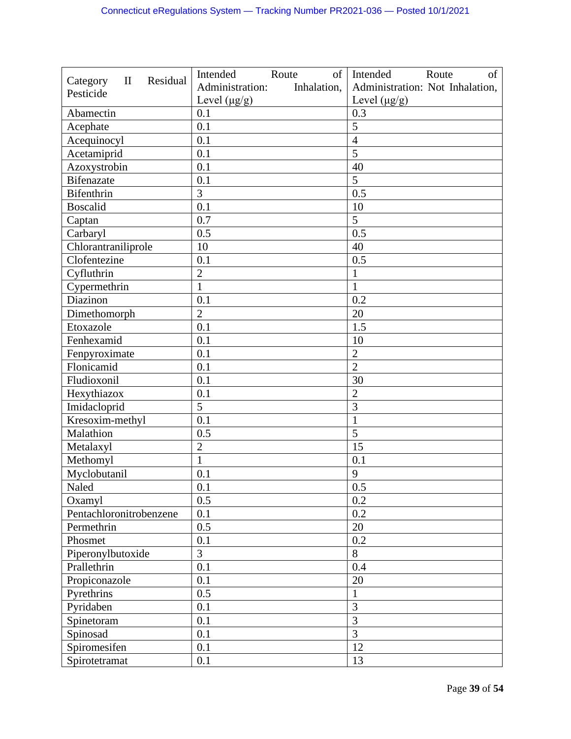|                                                   | Intended<br>of<br>Route        | Intended<br>of<br>Route         |
|---------------------------------------------------|--------------------------------|---------------------------------|
| Residual<br>Category<br>$\mathbf{I}$<br>Pesticide | Administration:<br>Inhalation, | Administration: Not Inhalation, |
|                                                   | Level $(\mu g/g)$              | Level $(\mu g/g)$               |
| Abamectin                                         | 0.1                            | 0.3                             |
| Acephate                                          | 0.1                            | 5                               |
| Acequinocyl                                       | 0.1                            | $\overline{4}$                  |
| Acetamiprid                                       | 0.1                            | 5                               |
| Azoxystrobin                                      | 0.1                            | 40                              |
| <b>Bifenazate</b>                                 | 0.1                            | 5                               |
| <b>Bifenthrin</b>                                 | 3                              | 0.5                             |
| <b>Boscalid</b>                                   | 0.1                            | 10                              |
| Captan                                            | 0.7                            | 5                               |
| Carbaryl                                          | 0.5                            | 0.5                             |
| Chlorantraniliprole                               | 10                             | 40                              |
| Clofentezine                                      | 0.1                            | 0.5                             |
| Cyfluthrin                                        | $\overline{2}$                 | $\mathbf{1}$                    |
| Cypermethrin                                      | $\mathbf{1}$                   | 1                               |
| Diazinon                                          | 0.1                            | 0.2                             |
| Dimethomorph                                      | $\overline{2}$                 | 20                              |
| Etoxazole                                         | 0.1                            | 1.5                             |
| Fenhexamid                                        | 0.1                            | 10                              |
| Fenpyroximate                                     | 0.1                            | $\overline{2}$                  |
| Flonicamid                                        | 0.1                            | $\overline{2}$                  |
| Fludioxonil                                       | 0.1                            | 30                              |
| Hexythiazox                                       | 0.1                            | $\overline{2}$                  |
| Imidacloprid                                      | 5                              | 3                               |
| Kresoxim-methyl                                   | 0.1                            | $\mathbf{1}$                    |
| Malathion                                         | 0.5                            | 5                               |
| Metalaxyl                                         | $\overline{2}$                 | 15                              |
| Methomyl                                          | $\mathbf{1}$                   | 0.1                             |
| Myclobutanil                                      | 0.1                            | 9                               |
| Naled                                             | 0.1                            | 0.5                             |
| Oxamyl                                            | 0.5                            | 0.2                             |
| Pentachloronitrobenzene                           | 0.1                            | 0.2                             |
| Permethrin                                        | 0.5                            | 20                              |
| Phosmet                                           | 0.1                            | 0.2                             |
| Piperonylbutoxide                                 | 3                              | 8                               |
| Prallethrin                                       | 0.1                            | 0.4                             |
| Propiconazole                                     | 0.1                            | 20                              |
| Pyrethrins                                        | 0.5                            | 1                               |
| Pyridaben                                         | 0.1                            | 3                               |
| Spinetoram                                        | 0.1                            | 3                               |
| Spinosad                                          | 0.1                            | 3                               |
| Spiromesifen                                      | 0.1                            | 12                              |
| Spirotetramat                                     | 0.1                            | 13                              |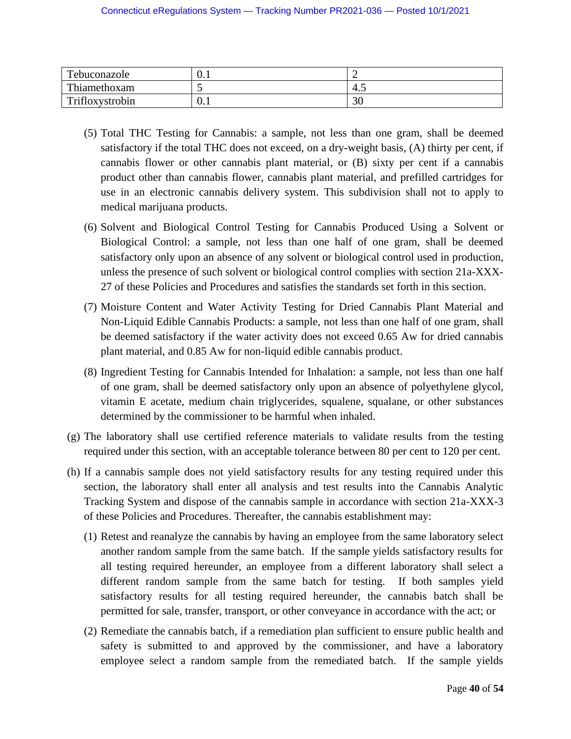| Tebuconazole    | v.i |              |
|-----------------|-----|--------------|
| Thiamethoxam    |     | $+$ . $\sim$ |
| Trifloxystrobin | ∪.⊥ | эc<br>ΟU     |

- (5) Total THC Testing for Cannabis: a sample, not less than one gram, shall be deemed satisfactory if the total THC does not exceed, on a dry-weight basis, (A) thirty per cent, if cannabis flower or other cannabis plant material, or (B) sixty per cent if a cannabis product other than cannabis flower, cannabis plant material, and prefilled cartridges for use in an electronic cannabis delivery system. This subdivision shall not to apply to medical marijuana products.
- (6) Solvent and Biological Control Testing for Cannabis Produced Using a Solvent or Biological Control: a sample, not less than one half of one gram, shall be deemed satisfactory only upon an absence of any solvent or biological control used in production, unless the presence of such solvent or biological control complies with section 21a-XXX-27 of these Policies and Procedures and satisfies the standards set forth in this section.
- (7) Moisture Content and Water Activity Testing for Dried Cannabis Plant Material and Non-Liquid Edible Cannabis Products: a sample, not less than one half of one gram, shall be deemed satisfactory if the water activity does not exceed 0.65 Aw for dried cannabis plant material, and 0.85 Aw for non-liquid edible cannabis product.
- (8) Ingredient Testing for Cannabis Intended for Inhalation: a sample, not less than one half of one gram, shall be deemed satisfactory only upon an absence of polyethylene glycol, vitamin E acetate, medium chain triglycerides, squalene, squalane, or other substances determined by the commissioner to be harmful when inhaled.
- (g) The laboratory shall use certified reference materials to validate results from the testing required under this section, with an acceptable tolerance between 80 per cent to 120 per cent.
- (h) If a cannabis sample does not yield satisfactory results for any testing required under this section, the laboratory shall enter all analysis and test results into the Cannabis Analytic Tracking System and dispose of the cannabis sample in accordance with section 21a-XXX-3 of these Policies and Procedures. Thereafter, the cannabis establishment may:
	- (1) Retest and reanalyze the cannabis by having an employee from the same laboratory select another random sample from the same batch. If the sample yields satisfactory results for all testing required hereunder, an employee from a different laboratory shall select a different random sample from the same batch for testing. If both samples yield satisfactory results for all testing required hereunder, the cannabis batch shall be permitted for sale, transfer, transport, or other conveyance in accordance with the act; or
	- (2) Remediate the cannabis batch, if a remediation plan sufficient to ensure public health and safety is submitted to and approved by the commissioner, and have a laboratory employee select a random sample from the remediated batch. If the sample yields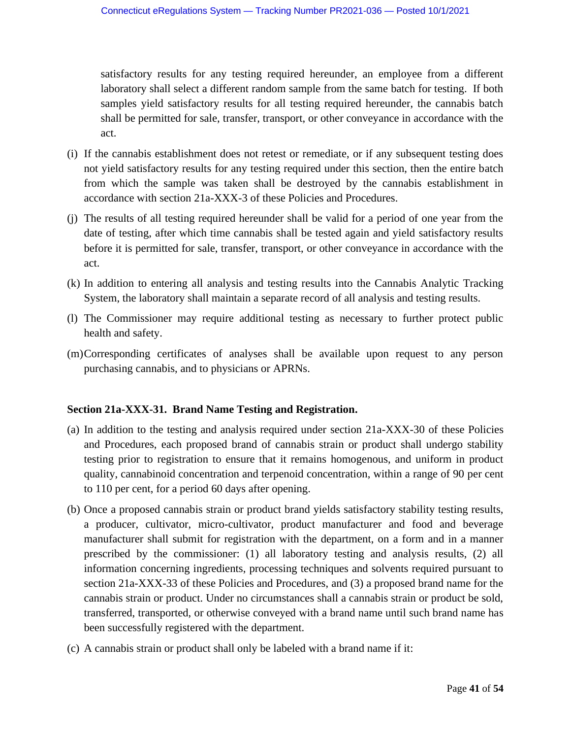satisfactory results for any testing required hereunder, an employee from a different laboratory shall select a different random sample from the same batch for testing. If both samples yield satisfactory results for all testing required hereunder, the cannabis batch shall be permitted for sale, transfer, transport, or other conveyance in accordance with the act.

- (i) If the cannabis establishment does not retest or remediate, or if any subsequent testing does not yield satisfactory results for any testing required under this section, then the entire batch from which the sample was taken shall be destroyed by the cannabis establishment in accordance with section 21a-XXX-3 of these Policies and Procedures.
- (j) The results of all testing required hereunder shall be valid for a period of one year from the date of testing, after which time cannabis shall be tested again and yield satisfactory results before it is permitted for sale, transfer, transport, or other conveyance in accordance with the act.
- (k) In addition to entering all analysis and testing results into the Cannabis Analytic Tracking System, the laboratory shall maintain a separate record of all analysis and testing results.
- (l) The Commissioner may require additional testing as necessary to further protect public health and safety.
- (m)Corresponding certificates of analyses shall be available upon request to any person purchasing cannabis, and to physicians or APRNs.

## **Section 21a-XXX-31. Brand Name Testing and Registration.**

- (a) In addition to the testing and analysis required under section 21a-XXX-30 of these Policies and Procedures, each proposed brand of cannabis strain or product shall undergo stability testing prior to registration to ensure that it remains homogenous, and uniform in product quality, cannabinoid concentration and terpenoid concentration, within a range of 90 per cent to 110 per cent, for a period 60 days after opening.
- (b) Once a proposed cannabis strain or product brand yields satisfactory stability testing results, a producer, cultivator, micro-cultivator, product manufacturer and food and beverage manufacturer shall submit for registration with the department, on a form and in a manner prescribed by the commissioner: (1) all laboratory testing and analysis results, (2) all information concerning ingredients, processing techniques and solvents required pursuant to section 21a-XXX-33 of these Policies and Procedures, and (3) a proposed brand name for the cannabis strain or product. Under no circumstances shall a cannabis strain or product be sold, transferred, transported, or otherwise conveyed with a brand name until such brand name has been successfully registered with the department.
- (c) A cannabis strain or product shall only be labeled with a brand name if it: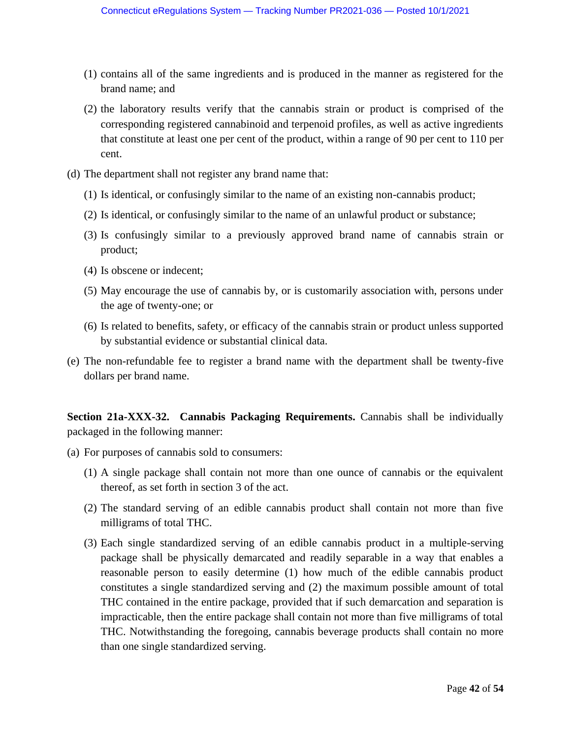- (1) contains all of the same ingredients and is produced in the manner as registered for the brand name; and
- (2) the laboratory results verify that the cannabis strain or product is comprised of the corresponding registered cannabinoid and terpenoid profiles, as well as active ingredients that constitute at least one per cent of the product, within a range of 90 per cent to 110 per cent.
- (d) The department shall not register any brand name that:
	- (1) Is identical, or confusingly similar to the name of an existing non-cannabis product;
	- (2) Is identical, or confusingly similar to the name of an unlawful product or substance;
	- (3) Is confusingly similar to a previously approved brand name of cannabis strain or product;
	- (4) Is obscene or indecent;
	- (5) May encourage the use of cannabis by, or is customarily association with, persons under the age of twenty-one; or
	- (6) Is related to benefits, safety, or efficacy of the cannabis strain or product unless supported by substantial evidence or substantial clinical data.
- (e) The non-refundable fee to register a brand name with the department shall be twenty-five dollars per brand name.

**Section 21a-XXX-32. Cannabis Packaging Requirements.** Cannabis shall be individually packaged in the following manner:

- (a) For purposes of cannabis sold to consumers:
	- (1) A single package shall contain not more than one ounce of cannabis or the equivalent thereof, as set forth in section 3 of the act.
	- (2) The standard serving of an edible cannabis product shall contain not more than five milligrams of total THC.
	- (3) Each single standardized serving of an edible cannabis product in a multiple-serving package shall be physically demarcated and readily separable in a way that enables a reasonable person to easily determine (1) how much of the edible cannabis product constitutes a single standardized serving and (2) the maximum possible amount of total THC contained in the entire package, provided that if such demarcation and separation is impracticable, then the entire package shall contain not more than five milligrams of total THC. Notwithstanding the foregoing, cannabis beverage products shall contain no more than one single standardized serving.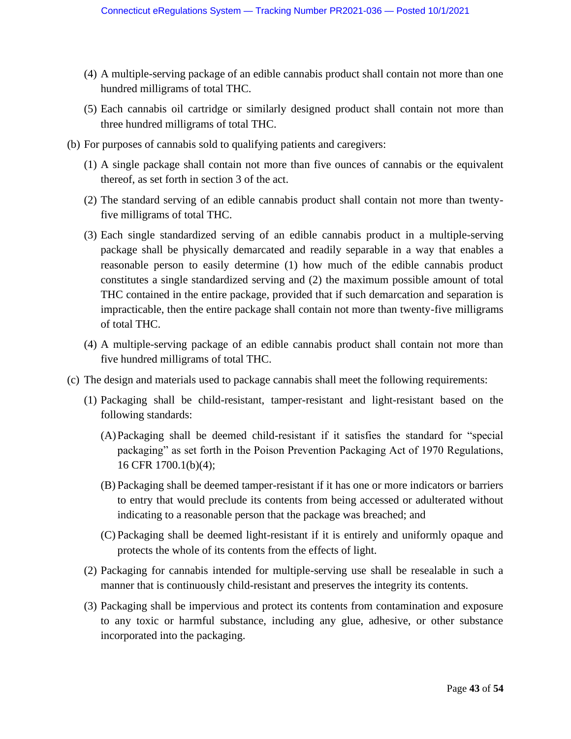- (4) A multiple-serving package of an edible cannabis product shall contain not more than one hundred milligrams of total THC.
- (5) Each cannabis oil cartridge or similarly designed product shall contain not more than three hundred milligrams of total THC.
- (b) For purposes of cannabis sold to qualifying patients and caregivers:
	- (1) A single package shall contain not more than five ounces of cannabis or the equivalent thereof, as set forth in section 3 of the act.
	- (2) The standard serving of an edible cannabis product shall contain not more than twentyfive milligrams of total THC.
	- (3) Each single standardized serving of an edible cannabis product in a multiple-serving package shall be physically demarcated and readily separable in a way that enables a reasonable person to easily determine (1) how much of the edible cannabis product constitutes a single standardized serving and (2) the maximum possible amount of total THC contained in the entire package, provided that if such demarcation and separation is impracticable, then the entire package shall contain not more than twenty-five milligrams of total THC.
	- (4) A multiple-serving package of an edible cannabis product shall contain not more than five hundred milligrams of total THC.
- (c) The design and materials used to package cannabis shall meet the following requirements:
	- (1) Packaging shall be child-resistant, tamper-resistant and light-resistant based on the following standards:
		- (A)Packaging shall be deemed child-resistant if it satisfies the standard for "special packaging" as set forth in the Poison Prevention Packaging Act of 1970 Regulations, 16 CFR 1700.1(b)(4);
		- (B) Packaging shall be deemed tamper-resistant if it has one or more indicators or barriers to entry that would preclude its contents from being accessed or adulterated without indicating to a reasonable person that the package was breached; and
		- (C) Packaging shall be deemed light-resistant if it is entirely and uniformly opaque and protects the whole of its contents from the effects of light.
	- (2) Packaging for cannabis intended for multiple-serving use shall be resealable in such a manner that is continuously child-resistant and preserves the integrity its contents.
	- (3) Packaging shall be impervious and protect its contents from contamination and exposure to any toxic or harmful substance, including any glue, adhesive, or other substance incorporated into the packaging.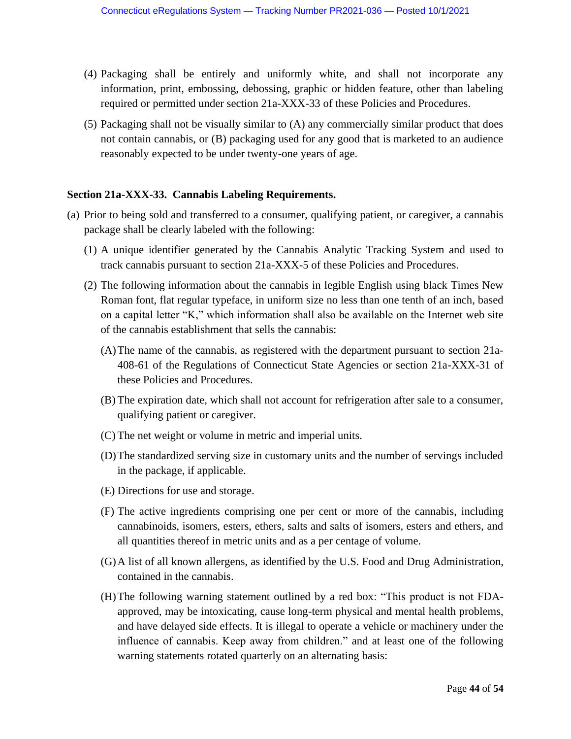- (4) Packaging shall be entirely and uniformly white, and shall not incorporate any information, print, embossing, debossing, graphic or hidden feature, other than labeling required or permitted under section 21a-XXX-33 of these Policies and Procedures.
- (5) Packaging shall not be visually similar to (A) any commercially similar product that does not contain cannabis, or (B) packaging used for any good that is marketed to an audience reasonably expected to be under twenty-one years of age.

### **Section 21a-XXX-33. Cannabis Labeling Requirements.**

- (a) Prior to being sold and transferred to a consumer, qualifying patient, or caregiver, a cannabis package shall be clearly labeled with the following:
	- (1) A unique identifier generated by the Cannabis Analytic Tracking System and used to track cannabis pursuant to section 21a-XXX-5 of these Policies and Procedures.
	- (2) The following information about the cannabis in legible English using black Times New Roman font, flat regular typeface, in uniform size no less than one tenth of an inch, based on a capital letter "K," which information shall also be available on the Internet web site of the cannabis establishment that sells the cannabis:
		- (A)The name of the cannabis, as registered with the department pursuant to section 21a-408-61 of the Regulations of Connecticut State Agencies or section 21a-XXX-31 of these Policies and Procedures.
		- (B) The expiration date, which shall not account for refrigeration after sale to a consumer, qualifying patient or caregiver.
		- (C) The net weight or volume in metric and imperial units.
		- (D)The standardized serving size in customary units and the number of servings included in the package, if applicable.
		- (E) Directions for use and storage.
		- (F) The active ingredients comprising one per cent or more of the cannabis, including cannabinoids, isomers, esters, ethers, salts and salts of isomers, esters and ethers, and all quantities thereof in metric units and as a per centage of volume.
		- (G)A list of all known allergens, as identified by the U.S. Food and Drug Administration, contained in the cannabis.
		- (H)The following warning statement outlined by a red box: "This product is not FDAapproved, may be intoxicating, cause long-term physical and mental health problems, and have delayed side effects. It is illegal to operate a vehicle or machinery under the influence of cannabis. Keep away from children." and at least one of the following warning statements rotated quarterly on an alternating basis: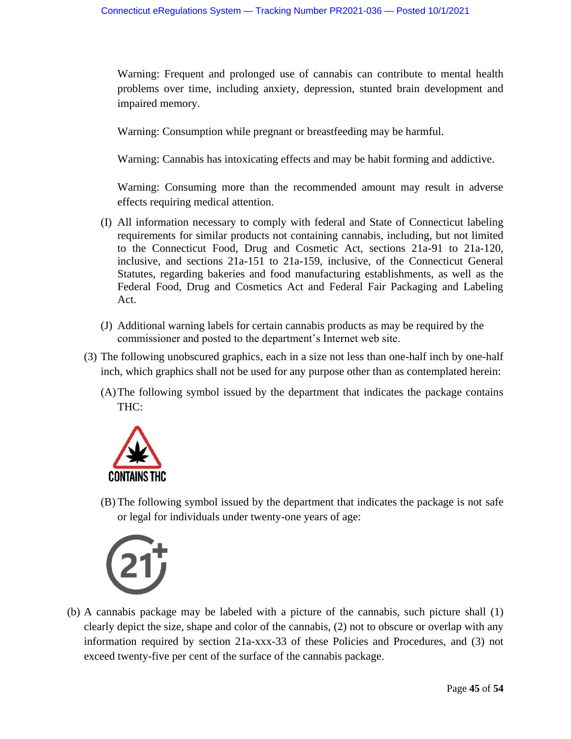Warning: Frequent and prolonged use of cannabis can contribute to mental health problems over time, including anxiety, depression, stunted brain development and impaired memory.

Warning: Consumption while pregnant or breastfeeding may be harmful.

Warning: Cannabis has intoxicating effects and may be habit forming and addictive.

Warning: Consuming more than the recommended amount may result in adverse effects requiring medical attention.

- (I) All information necessary to comply with federal and State of Connecticut labeling requirements for similar products not containing cannabis, including, but not limited to the Connecticut Food, Drug and Cosmetic Act, sections 21a-91 to 21a-120, inclusive, and sections 21a-151 to 21a-159, inclusive, of the Connecticut General Statutes, regarding bakeries and food manufacturing establishments, as well as the Federal Food, Drug and Cosmetics Act and Federal Fair Packaging and Labeling Act.
- (J) Additional warning labels for certain cannabis products as may be required by the commissioner and posted to the department's Internet web site.
- (3) The following unobscured graphics, each in a size not less than one-half inch by one-half inch, which graphics shall not be used for any purpose other than as contemplated herein:
	- (A)The following symbol issued by the department that indicates the package contains THC:



(B) The following symbol issued by the department that indicates the package is not safe or legal for individuals under twenty-one years of age:



(b) A cannabis package may be labeled with a picture of the cannabis, such picture shall (1) clearly depict the size, shape and color of the cannabis, (2) not to obscure or overlap with any information required by section 21a-xxx-33 of these Policies and Procedures, and (3) not exceed twenty-five per cent of the surface of the cannabis package.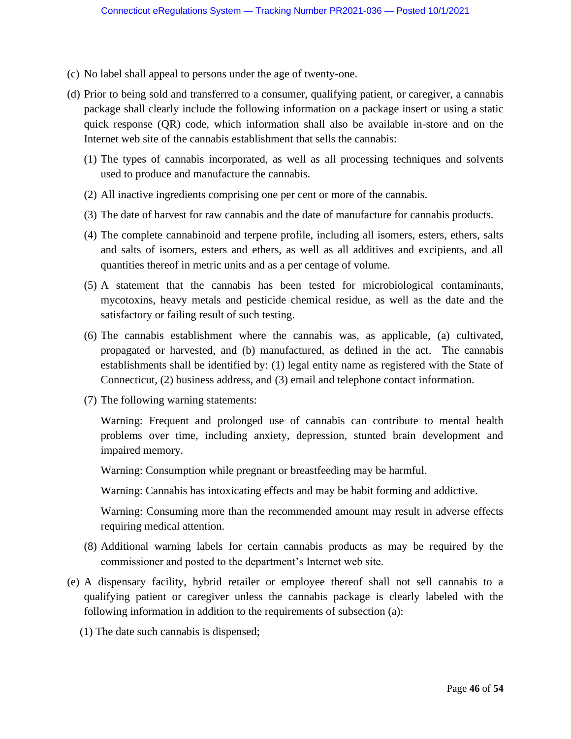- (c) No label shall appeal to persons under the age of twenty-one.
- (d) Prior to being sold and transferred to a consumer, qualifying patient, or caregiver, a cannabis package shall clearly include the following information on a package insert or using a static quick response (QR) code, which information shall also be available in-store and on the Internet web site of the cannabis establishment that sells the cannabis:
	- (1) The types of cannabis incorporated, as well as all processing techniques and solvents used to produce and manufacture the cannabis.
	- (2) All inactive ingredients comprising one per cent or more of the cannabis.
	- (3) The date of harvest for raw cannabis and the date of manufacture for cannabis products.
	- (4) The complete cannabinoid and terpene profile, including all isomers, esters, ethers, salts and salts of isomers, esters and ethers, as well as all additives and excipients, and all quantities thereof in metric units and as a per centage of volume.
	- (5) A statement that the cannabis has been tested for microbiological contaminants, mycotoxins, heavy metals and pesticide chemical residue, as well as the date and the satisfactory or failing result of such testing.
	- (6) The cannabis establishment where the cannabis was, as applicable, (a) cultivated, propagated or harvested, and (b) manufactured, as defined in the act. The cannabis establishments shall be identified by: (1) legal entity name as registered with the State of Connecticut, (2) business address, and (3) email and telephone contact information.
	- (7) The following warning statements:

Warning: Frequent and prolonged use of cannabis can contribute to mental health problems over time, including anxiety, depression, stunted brain development and impaired memory.

Warning: Consumption while pregnant or breastfeeding may be harmful.

Warning: Cannabis has intoxicating effects and may be habit forming and addictive.

Warning: Consuming more than the recommended amount may result in adverse effects requiring medical attention.

- (8) Additional warning labels for certain cannabis products as may be required by the commissioner and posted to the department's Internet web site.
- (e) A dispensary facility, hybrid retailer or employee thereof shall not sell cannabis to a qualifying patient or caregiver unless the cannabis package is clearly labeled with the following information in addition to the requirements of subsection (a):
	- (1) The date such cannabis is dispensed;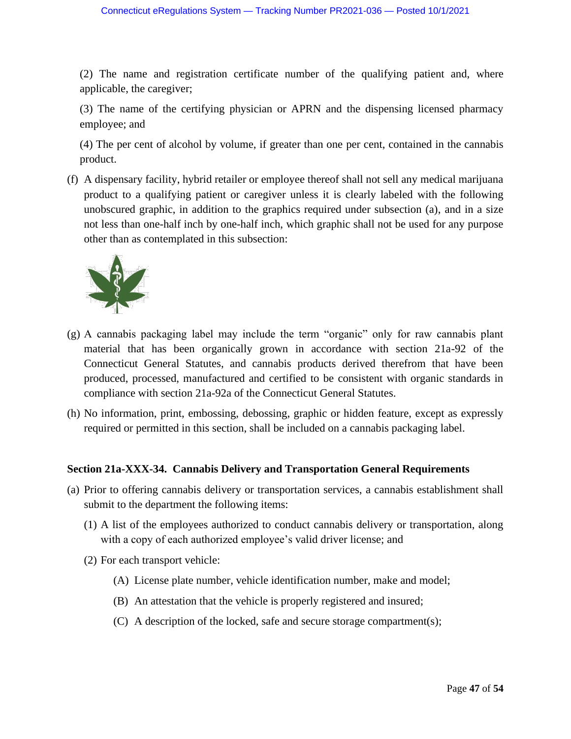(2) The name and registration certificate number of the qualifying patient and, where applicable, the caregiver;

(3) The name of the certifying physician or APRN and the dispensing licensed pharmacy employee; and

(4) The per cent of alcohol by volume, if greater than one per cent, contained in the cannabis product.

(f) A dispensary facility, hybrid retailer or employee thereof shall not sell any medical marijuana product to a qualifying patient or caregiver unless it is clearly labeled with the following unobscured graphic, in addition to the graphics required under subsection (a), and in a size not less than one-half inch by one-half inch, which graphic shall not be used for any purpose other than as contemplated in this subsection:



- (g) A cannabis packaging label may include the term "organic" only for raw cannabis plant material that has been organically grown in accordance with section 21a-92 of the Connecticut General Statutes, and cannabis products derived therefrom that have been produced, processed, manufactured and certified to be consistent with organic standards in compliance with section 21a-92a of the Connecticut General Statutes.
- (h) No information, print, embossing, debossing, graphic or hidden feature, except as expressly required or permitted in this section, shall be included on a cannabis packaging label.

# **Section 21a-XXX-34. Cannabis Delivery and Transportation General Requirements**

- (a) Prior to offering cannabis delivery or transportation services, a cannabis establishment shall submit to the department the following items:
	- (1) A list of the employees authorized to conduct cannabis delivery or transportation, along with a copy of each authorized employee's valid driver license; and
	- (2) For each transport vehicle:
		- (A) License plate number, vehicle identification number, make and model;
		- (B) An attestation that the vehicle is properly registered and insured;
		- (C) A description of the locked, safe and secure storage compartment(s);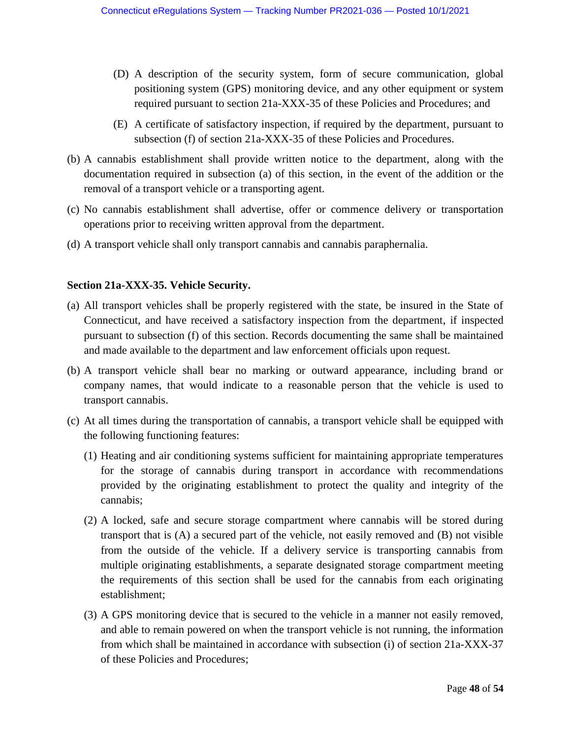- (D) A description of the security system, form of secure communication, global positioning system (GPS) monitoring device, and any other equipment or system required pursuant to section 21a-XXX-35 of these Policies and Procedures; and
- (E) A certificate of satisfactory inspection, if required by the department, pursuant to subsection (f) of section 21a-XXX-35 of these Policies and Procedures.
- (b) A cannabis establishment shall provide written notice to the department, along with the documentation required in subsection (a) of this section, in the event of the addition or the removal of a transport vehicle or a transporting agent.
- (c) No cannabis establishment shall advertise, offer or commence delivery or transportation operations prior to receiving written approval from the department.
- (d) A transport vehicle shall only transport cannabis and cannabis paraphernalia.

### **Section 21a-XXX-35. Vehicle Security.**

- (a) All transport vehicles shall be properly registered with the state, be insured in the State of Connecticut, and have received a satisfactory inspection from the department, if inspected pursuant to subsection (f) of this section. Records documenting the same shall be maintained and made available to the department and law enforcement officials upon request.
- (b) A transport vehicle shall bear no marking or outward appearance, including brand or company names, that would indicate to a reasonable person that the vehicle is used to transport cannabis.
- (c) At all times during the transportation of cannabis, a transport vehicle shall be equipped with the following functioning features:
	- (1) Heating and air conditioning systems sufficient for maintaining appropriate temperatures for the storage of cannabis during transport in accordance with recommendations provided by the originating establishment to protect the quality and integrity of the cannabis;
	- (2) A locked, safe and secure storage compartment where cannabis will be stored during transport that is (A) a secured part of the vehicle, not easily removed and (B) not visible from the outside of the vehicle. If a delivery service is transporting cannabis from multiple originating establishments, a separate designated storage compartment meeting the requirements of this section shall be used for the cannabis from each originating establishment;
	- (3) A GPS monitoring device that is secured to the vehicle in a manner not easily removed, and able to remain powered on when the transport vehicle is not running, the information from which shall be maintained in accordance with subsection (i) of section 21a-XXX-37 of these Policies and Procedures;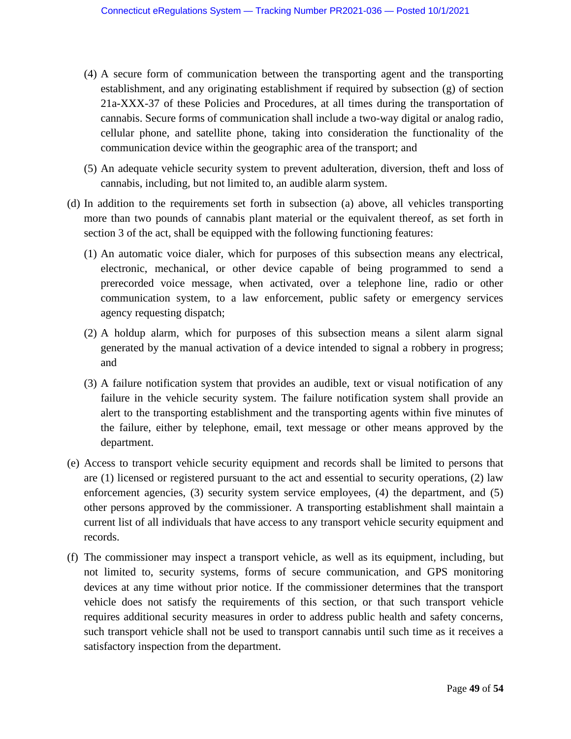- (4) A secure form of communication between the transporting agent and the transporting establishment, and any originating establishment if required by subsection (g) of section 21a-XXX-37 of these Policies and Procedures, at all times during the transportation of cannabis. Secure forms of communication shall include a two-way digital or analog radio, cellular phone, and satellite phone, taking into consideration the functionality of the communication device within the geographic area of the transport; and
- (5) An adequate vehicle security system to prevent adulteration, diversion, theft and loss of cannabis, including, but not limited to, an audible alarm system.
- (d) In addition to the requirements set forth in subsection (a) above, all vehicles transporting more than two pounds of cannabis plant material or the equivalent thereof, as set forth in section 3 of the act, shall be equipped with the following functioning features:
	- (1) An automatic voice dialer, which for purposes of this subsection means any electrical, electronic, mechanical, or other device capable of being programmed to send a prerecorded voice message, when activated, over a telephone line, radio or other communication system, to a law enforcement, public safety or emergency services agency requesting dispatch;
	- (2) A holdup alarm, which for purposes of this subsection means a silent alarm signal generated by the manual activation of a device intended to signal a robbery in progress; and
	- (3) A failure notification system that provides an audible, text or visual notification of any failure in the vehicle security system. The failure notification system shall provide an alert to the transporting establishment and the transporting agents within five minutes of the failure, either by telephone, email, text message or other means approved by the department.
- (e) Access to transport vehicle security equipment and records shall be limited to persons that are (1) licensed or registered pursuant to the act and essential to security operations, (2) law enforcement agencies, (3) security system service employees, (4) the department, and (5) other persons approved by the commissioner. A transporting establishment shall maintain a current list of all individuals that have access to any transport vehicle security equipment and records.
- (f) The commissioner may inspect a transport vehicle, as well as its equipment, including, but not limited to, security systems, forms of secure communication, and GPS monitoring devices at any time without prior notice. If the commissioner determines that the transport vehicle does not satisfy the requirements of this section, or that such transport vehicle requires additional security measures in order to address public health and safety concerns, such transport vehicle shall not be used to transport cannabis until such time as it receives a satisfactory inspection from the department.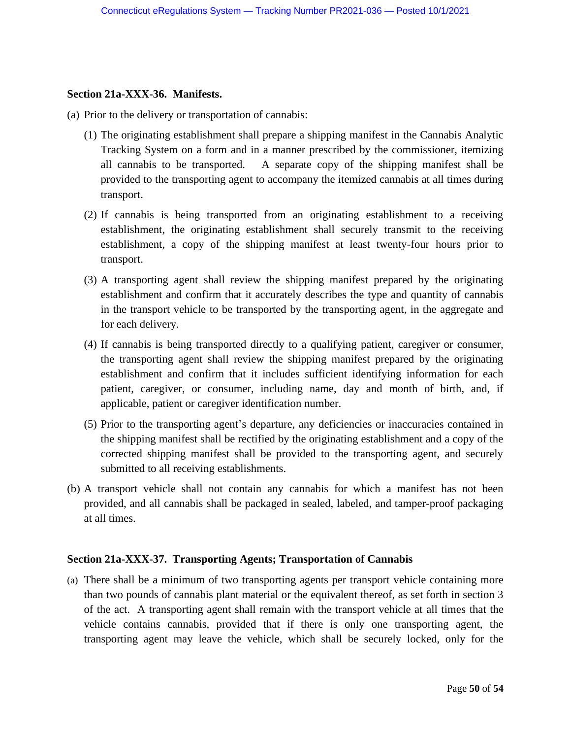#### **Section 21a-XXX-36. Manifests.**

- (a) Prior to the delivery or transportation of cannabis:
	- (1) The originating establishment shall prepare a shipping manifest in the Cannabis Analytic Tracking System on a form and in a manner prescribed by the commissioner, itemizing all cannabis to be transported. A separate copy of the shipping manifest shall be provided to the transporting agent to accompany the itemized cannabis at all times during transport.
	- (2) If cannabis is being transported from an originating establishment to a receiving establishment, the originating establishment shall securely transmit to the receiving establishment, a copy of the shipping manifest at least twenty-four hours prior to transport.
	- (3) A transporting agent shall review the shipping manifest prepared by the originating establishment and confirm that it accurately describes the type and quantity of cannabis in the transport vehicle to be transported by the transporting agent, in the aggregate and for each delivery.
	- (4) If cannabis is being transported directly to a qualifying patient, caregiver or consumer, the transporting agent shall review the shipping manifest prepared by the originating establishment and confirm that it includes sufficient identifying information for each patient, caregiver, or consumer, including name, day and month of birth, and, if applicable, patient or caregiver identification number.
	- (5) Prior to the transporting agent's departure, any deficiencies or inaccuracies contained in the shipping manifest shall be rectified by the originating establishment and a copy of the corrected shipping manifest shall be provided to the transporting agent, and securely submitted to all receiving establishments.
- (b) A transport vehicle shall not contain any cannabis for which a manifest has not been provided, and all cannabis shall be packaged in sealed, labeled, and tamper-proof packaging at all times.

## **Section 21a-XXX-37. Transporting Agents; Transportation of Cannabis**

(a) There shall be a minimum of two transporting agents per transport vehicle containing more than two pounds of cannabis plant material or the equivalent thereof, as set forth in section 3 of the act. A transporting agent shall remain with the transport vehicle at all times that the vehicle contains cannabis, provided that if there is only one transporting agent, the transporting agent may leave the vehicle, which shall be securely locked, only for the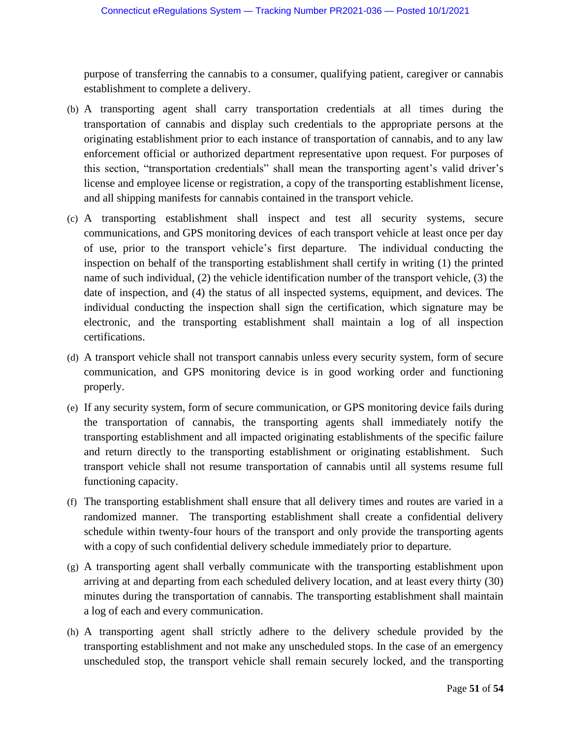purpose of transferring the cannabis to a consumer, qualifying patient, caregiver or cannabis establishment to complete a delivery.

- (b) A transporting agent shall carry transportation credentials at all times during the transportation of cannabis and display such credentials to the appropriate persons at the originating establishment prior to each instance of transportation of cannabis, and to any law enforcement official or authorized department representative upon request. For purposes of this section, "transportation credentials" shall mean the transporting agent's valid driver's license and employee license or registration, a copy of the transporting establishment license, and all shipping manifests for cannabis contained in the transport vehicle.
- (c) A transporting establishment shall inspect and test all security systems, secure communications, and GPS monitoring devices of each transport vehicle at least once per day of use, prior to the transport vehicle's first departure. The individual conducting the inspection on behalf of the transporting establishment shall certify in writing (1) the printed name of such individual, (2) the vehicle identification number of the transport vehicle, (3) the date of inspection, and (4) the status of all inspected systems, equipment, and devices. The individual conducting the inspection shall sign the certification, which signature may be electronic, and the transporting establishment shall maintain a log of all inspection certifications.
- (d) A transport vehicle shall not transport cannabis unless every security system, form of secure communication, and GPS monitoring device is in good working order and functioning properly.
- (e) If any security system, form of secure communication, or GPS monitoring device fails during the transportation of cannabis, the transporting agents shall immediately notify the transporting establishment and all impacted originating establishments of the specific failure and return directly to the transporting establishment or originating establishment. Such transport vehicle shall not resume transportation of cannabis until all systems resume full functioning capacity.
- (f) The transporting establishment shall ensure that all delivery times and routes are varied in a randomized manner. The transporting establishment shall create a confidential delivery schedule within twenty-four hours of the transport and only provide the transporting agents with a copy of such confidential delivery schedule immediately prior to departure.
- (g) A transporting agent shall verbally communicate with the transporting establishment upon arriving at and departing from each scheduled delivery location, and at least every thirty (30) minutes during the transportation of cannabis. The transporting establishment shall maintain a log of each and every communication.
- (h) A transporting agent shall strictly adhere to the delivery schedule provided by the transporting establishment and not make any unscheduled stops. In the case of an emergency unscheduled stop, the transport vehicle shall remain securely locked, and the transporting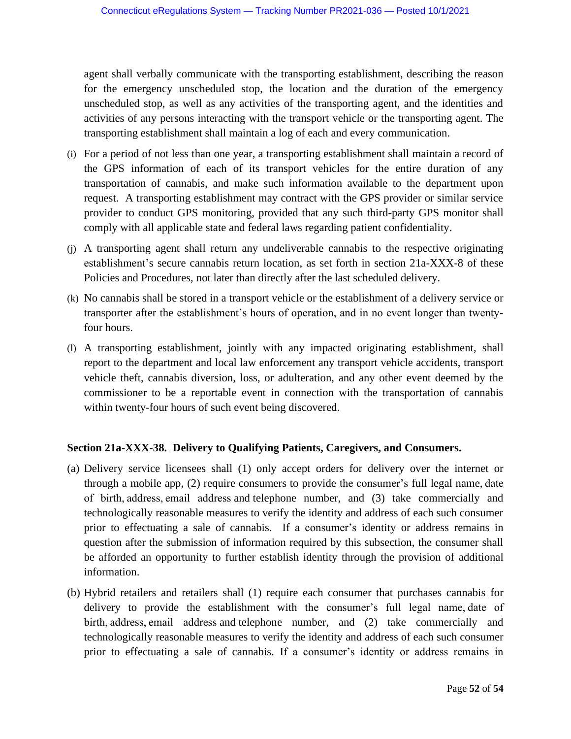agent shall verbally communicate with the transporting establishment, describing the reason for the emergency unscheduled stop, the location and the duration of the emergency unscheduled stop, as well as any activities of the transporting agent, and the identities and activities of any persons interacting with the transport vehicle or the transporting agent. The transporting establishment shall maintain a log of each and every communication.

- (i) For a period of not less than one year, a transporting establishment shall maintain a record of the GPS information of each of its transport vehicles for the entire duration of any transportation of cannabis, and make such information available to the department upon request. A transporting establishment may contract with the GPS provider or similar service provider to conduct GPS monitoring, provided that any such third-party GPS monitor shall comply with all applicable state and federal laws regarding patient confidentiality.
- (j) A transporting agent shall return any undeliverable cannabis to the respective originating establishment's secure cannabis return location, as set forth in section 21a-XXX-8 of these Policies and Procedures, not later than directly after the last scheduled delivery.
- (k) No cannabis shall be stored in a transport vehicle or the establishment of a delivery service or transporter after the establishment's hours of operation, and in no event longer than twentyfour hours.
- (l) A transporting establishment, jointly with any impacted originating establishment, shall report to the department and local law enforcement any transport vehicle accidents, transport vehicle theft, cannabis diversion, loss, or adulteration, and any other event deemed by the commissioner to be a reportable event in connection with the transportation of cannabis within twenty-four hours of such event being discovered.

## **Section 21a-XXX-38. Delivery to Qualifying Patients, Caregivers, and Consumers.**

- (a) Delivery service licensees shall (1) only accept orders for delivery over the internet or through a mobile app, (2) require consumers to provide the consumer's full legal name, date of birth, address, email address and telephone number, and (3) take commercially and technologically reasonable measures to verify the identity and address of each such consumer prior to effectuating a sale of cannabis. If a consumer's identity or address remains in question after the submission of information required by this subsection, the consumer shall be afforded an opportunity to further establish identity through the provision of additional information.
- (b) Hybrid retailers and retailers shall (1) require each consumer that purchases cannabis for delivery to provide the establishment with the consumer's full legal name, date of birth, address, email address and telephone number, and (2) take commercially and technologically reasonable measures to verify the identity and address of each such consumer prior to effectuating a sale of cannabis. If a consumer's identity or address remains in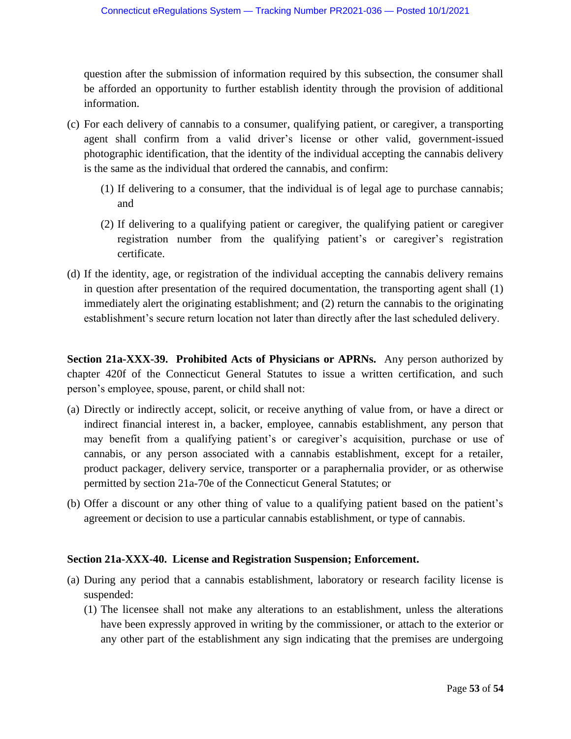question after the submission of information required by this subsection, the consumer shall be afforded an opportunity to further establish identity through the provision of additional information.

- (c) For each delivery of cannabis to a consumer, qualifying patient, or caregiver, a transporting agent shall confirm from a valid driver's license or other valid, government-issued photographic identification, that the identity of the individual accepting the cannabis delivery is the same as the individual that ordered the cannabis, and confirm:
	- (1) If delivering to a consumer, that the individual is of legal age to purchase cannabis; and
	- (2) If delivering to a qualifying patient or caregiver, the qualifying patient or caregiver registration number from the qualifying patient's or caregiver's registration certificate.
- (d) If the identity, age, or registration of the individual accepting the cannabis delivery remains in question after presentation of the required documentation, the transporting agent shall (1) immediately alert the originating establishment; and (2) return the cannabis to the originating establishment's secure return location not later than directly after the last scheduled delivery.

**Section 21a-XXX-39. Prohibited Acts of Physicians or APRNs.** Any person authorized by chapter 420f of the Connecticut General Statutes to issue a written certification, and such person's employee, spouse, parent, or child shall not:

- (a) Directly or indirectly accept, solicit, or receive anything of value from, or have a direct or indirect financial interest in, a backer, employee, cannabis establishment, any person that may benefit from a qualifying patient's or caregiver's acquisition, purchase or use of cannabis, or any person associated with a cannabis establishment, except for a retailer, product packager, delivery service, transporter or a paraphernalia provider, or as otherwise permitted by section 21a-70e of the Connecticut General Statutes; or
- (b) Offer a discount or any other thing of value to a qualifying patient based on the patient's agreement or decision to use a particular cannabis establishment, or type of cannabis.

## **Section 21a-XXX-40. License and Registration Suspension; Enforcement.**

- (a) During any period that a cannabis establishment, laboratory or research facility license is suspended:
	- (1) The licensee shall not make any alterations to an establishment, unless the alterations have been expressly approved in writing by the commissioner, or attach to the exterior or any other part of the establishment any sign indicating that the premises are undergoing